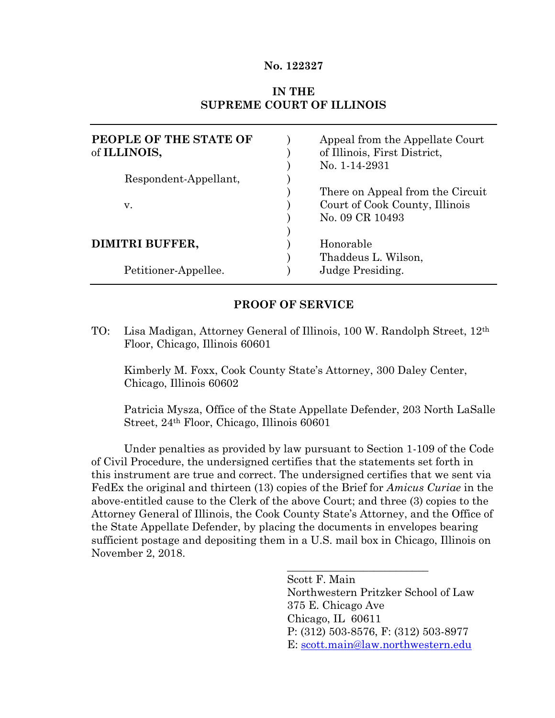#### **No. 122327**

## **IN THE SUPREME COURT OF ILLINOIS**

| PEOPLE OF THE STATE OF<br>of ILLINOIS, | Appeal from the Appellate Court<br>of Illinois, First District,<br>No. 1-14-2931 |
|----------------------------------------|----------------------------------------------------------------------------------|
| Respondent-Appellant,                  |                                                                                  |
|                                        | There on Appeal from the Circuit                                                 |
| V.                                     | Court of Cook County, Illinois                                                   |
|                                        | No. 09 CR 10493                                                                  |
|                                        |                                                                                  |
| DIMITRI BUFFER,                        | Honorable                                                                        |
|                                        | Thaddeus L. Wilson,                                                              |
| Petitioner-Appellee.                   | Judge Presiding.                                                                 |

#### **PROOF OF SERVICE**

TO: Lisa Madigan, Attorney General of Illinois, 100 W. Randolph Street, 12th Floor, Chicago, Illinois 60601

Kimberly M. Foxx, Cook County State's Attorney, 300 Daley Center, Chicago, Illinois 60602

Patricia Mysza, Office of the State Appellate Defender, 203 North LaSalle Street, 24th Floor, Chicago, Illinois 60601

Under penalties as provided by law pursuant to Section 1-109 of the Code of Civil Procedure, the undersigned certifies that the statements set forth in this instrument are true and correct. The undersigned certifies that we sent via FedEx the original and thirteen (13) copies of the Brief for *Amicus Curiae* in the above-entitled cause to the Clerk of the above Court; and three (3) copies to the Attorney General of Illinois, the Cook County State's Attorney, and the Office of the State Appellate Defender, by placing the documents in envelopes bearing sufficient postage and depositing them in a U.S. mail box in Chicago, Illinois on November 2, 2018.

> Scott F. Main Northwestern Pritzker School of Law 375 E. Chicago Ave Chicago, IL 60611 P: (312) 503-8576, F: (312) 503-8977 E: [scott.main@law.northwestern.edu](mailto:scott.main@law.northwestern.edu)

\_\_\_\_\_\_\_\_\_\_\_\_\_\_\_\_\_\_\_\_\_\_\_\_\_\_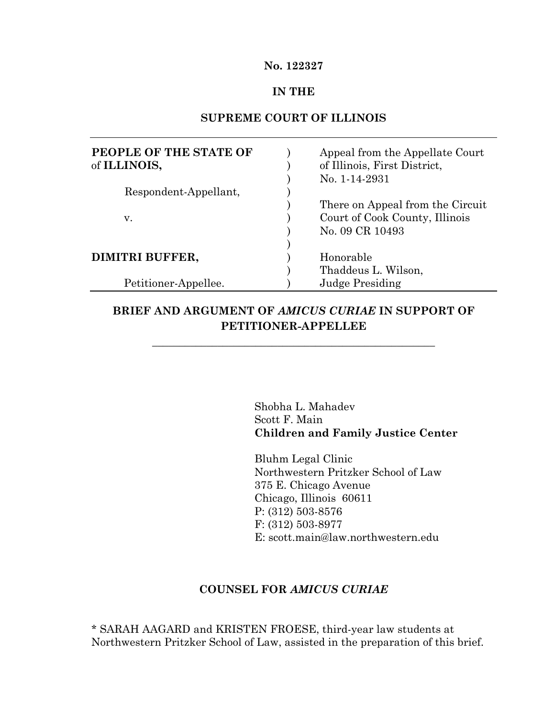#### **No. 122327**

#### **IN THE**

#### **SUPREME COURT OF ILLINOIS**

| PEOPLE OF THE STATE OF<br>of ILLINOIS, | Appeal from the Appellate Court<br>of Illinois, First District,<br>No. 1-14-2931 |
|----------------------------------------|----------------------------------------------------------------------------------|
| Respondent-Appellant,                  |                                                                                  |
|                                        | There on Appeal from the Circuit                                                 |
| V.                                     | Court of Cook County, Illinois                                                   |
|                                        | No. 09 CR 10493                                                                  |
|                                        |                                                                                  |
| DIMITRI BUFFER,                        | Honorable                                                                        |
|                                        | Thaddeus L. Wilson,                                                              |
| Petitioner-Appellee.                   | <b>Judge Presiding</b>                                                           |

# **BRIEF AND ARGUMENT OF** *AMICUS CURIAE* **IN SUPPORT OF PETITIONER-APPELLEE**

\_\_\_\_\_\_\_\_\_\_\_\_\_\_\_\_\_\_\_\_\_\_\_\_\_\_\_\_\_\_\_\_\_\_\_\_\_\_\_\_\_\_\_\_\_\_\_\_\_\_\_\_

Shobha L. Mahadev Scott F. Main **Children and Family Justice Center**

Bluhm Legal Clinic Northwestern Pritzker School of Law 375 E. Chicago Avenue Chicago, Illinois 60611 P: (312) 503-8576 F: (312) 503-8977 E: scott.main@law.northwestern.edu

#### **COUNSEL FOR** *AMICUS CURIAE*

\* SARAH AAGARD and KRISTEN FROESE, third-year law students at Northwestern Pritzker School of Law, assisted in the preparation of this brief.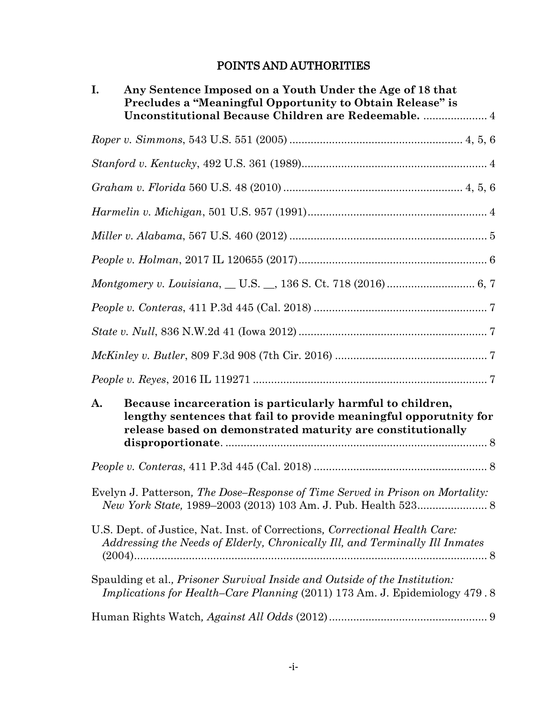# POINTS AND AUTHORITIES

| Any Sentence Imposed on a Youth Under the Age of 18 that<br>I.<br>Precludes a "Meaningful Opportunity to Obtain Release" is<br>Unconstitutional Because Children are Redeemable.  4                  |
|------------------------------------------------------------------------------------------------------------------------------------------------------------------------------------------------------|
|                                                                                                                                                                                                      |
|                                                                                                                                                                                                      |
|                                                                                                                                                                                                      |
|                                                                                                                                                                                                      |
|                                                                                                                                                                                                      |
|                                                                                                                                                                                                      |
|                                                                                                                                                                                                      |
|                                                                                                                                                                                                      |
| $State\ v.\ Null,\ 836\ N.W.2d\ 41\ (Iowa\ 2012)7$                                                                                                                                                   |
|                                                                                                                                                                                                      |
|                                                                                                                                                                                                      |
| Because incarceration is particularly harmful to children,<br>A.<br>lengthy sentences that fail to provide meaningful opporutnity for<br>release based on demonstrated maturity are constitutionally |
|                                                                                                                                                                                                      |
| Evelyn J. Patterson, The Dose-Response of Time Served in Prison on Mortality:                                                                                                                        |
| U.S. Dept. of Justice, Nat. Inst. of Corrections, Correctional Health Care:<br>Addressing the Needs of Elderly, Chronically Ill, and Terminally Ill Inmates                                          |
| Spaulding et al., Prisoner Survival Inside and Outside of the Institution:<br><i>Implications for Health–Care Planning</i> (2011) 173 Am. J. Epidemiology 479.8                                      |
|                                                                                                                                                                                                      |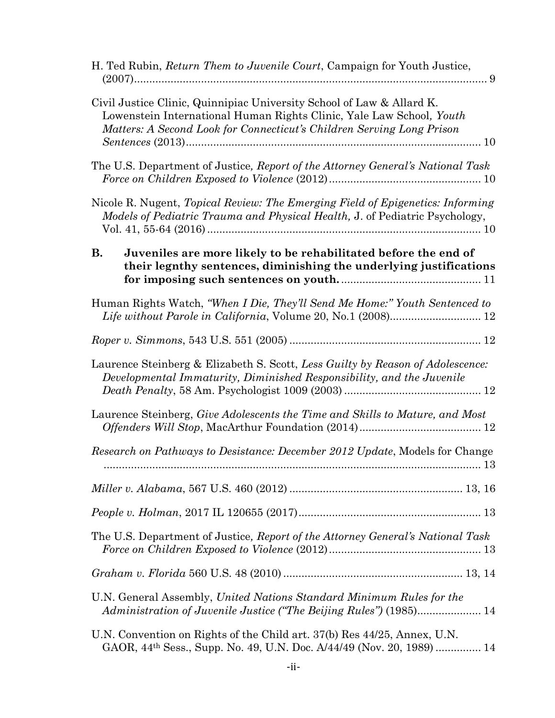| H. Ted Rubin, <i>Return Them to Juvenile Court</i> , Campaign for Youth Justice,                                                                                                                                       |
|------------------------------------------------------------------------------------------------------------------------------------------------------------------------------------------------------------------------|
| Civil Justice Clinic, Quinnipiac University School of Law & Allard K.<br>Lowenstein International Human Rights Clinic, Yale Law School, Youth<br>Matters: A Second Look for Connecticut's Children Serving Long Prison |
| The U.S. Department of Justice, Report of the Attorney General's National Task                                                                                                                                         |
| Nicole R. Nugent, Topical Review: The Emerging Field of Epigenetics: Informing<br>Models of Pediatric Trauma and Physical Health, J. of Pediatric Psychology,                                                          |
| <b>B.</b><br>Juveniles are more likely to be rehabilitated before the end of<br>their legnthy sentences, diminishing the underlying justifications                                                                     |
| Human Rights Watch, "When I Die, They'll Send Me Home:" Youth Sentenced to                                                                                                                                             |
|                                                                                                                                                                                                                        |
| Laurence Steinberg & Elizabeth S. Scott, Less Guilty by Reason of Adolescence:<br>Developmental Immaturity, Diminished Responsibility, and the Juvenile                                                                |
| Laurence Steinberg, Give Adolescents the Time and Skills to Mature, and Most                                                                                                                                           |
| Research on Pathways to Desistance: December 2012 Update, Models for Change<br>-13                                                                                                                                     |
|                                                                                                                                                                                                                        |
|                                                                                                                                                                                                                        |
| The U.S. Department of Justice, Report of the Attorney General's National Task                                                                                                                                         |
|                                                                                                                                                                                                                        |
| U.N. General Assembly, United Nations Standard Minimum Rules for the<br>Administration of Juvenile Justice ("The Beijing Rules") (1985) 14                                                                             |
| U.N. Convention on Rights of the Child art. 37(b) Res 44/25, Annex, U.N.<br>GAOR, 44 <sup>th</sup> Sess., Supp. No. 49, U.N. Doc. A/44/49 (Nov. 20, 1989)  14                                                          |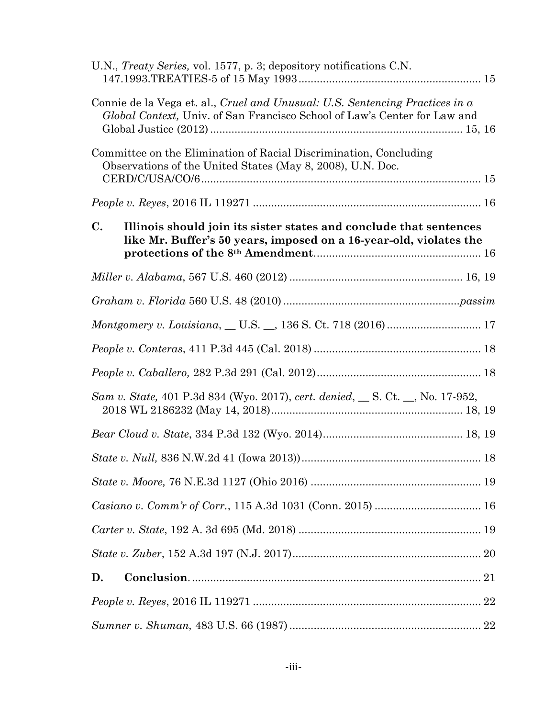|                | U.N., Treaty Series, vol. 1577, p. 3; depository notifications C.N.                                                                                       |  |
|----------------|-----------------------------------------------------------------------------------------------------------------------------------------------------------|--|
|                | Connie de la Vega et. al., Cruel and Unusual: U.S. Sentencing Practices in a<br>Global Context, Univ. of San Francisco School of Law's Center for Law and |  |
|                | Committee on the Elimination of Racial Discrimination, Concluding<br>Observations of the United States (May 8, 2008), U.N. Doc.                           |  |
|                |                                                                                                                                                           |  |
| $\mathbf{C}$ . | Illinois should join its sister states and conclude that sentences<br>like Mr. Buffer's 50 years, imposed on a 16-year-old, violates the                  |  |
|                |                                                                                                                                                           |  |
|                |                                                                                                                                                           |  |
|                |                                                                                                                                                           |  |
|                | $\emph{People v. Conteras, 411 P.3d 445 (Cal.~2018)18}$                                                                                                   |  |
|                |                                                                                                                                                           |  |
|                | Sam v. State, 401 P.3d 834 (Wyo. 2017), cert. denied, S. Ct. _, No. 17-952,                                                                               |  |
|                |                                                                                                                                                           |  |
|                |                                                                                                                                                           |  |
|                |                                                                                                                                                           |  |
|                |                                                                                                                                                           |  |
|                |                                                                                                                                                           |  |
|                |                                                                                                                                                           |  |
| D.             |                                                                                                                                                           |  |
|                |                                                                                                                                                           |  |
|                |                                                                                                                                                           |  |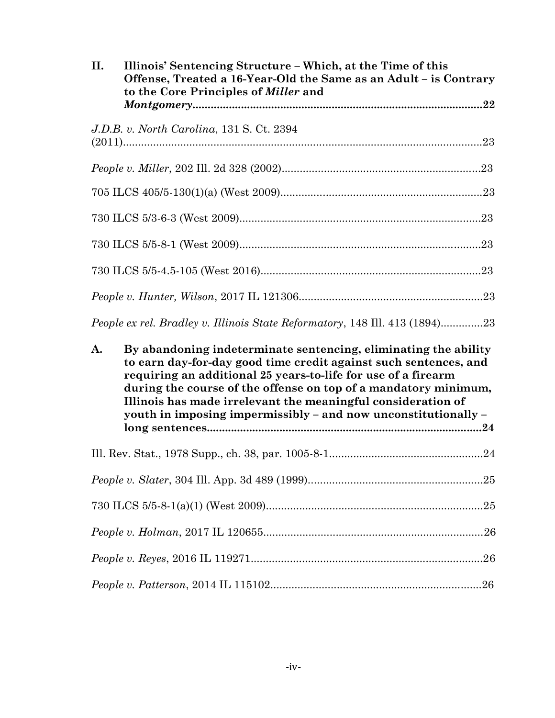| II. | Illinois' Sentencing Structure – Which, at the Time of this<br>Offense, Treated a 16-Year-Old the Same as an Adult - is Contrary<br>to the Core Principles of <i>Miller</i> and                                                                                                                                                                                                                           |  |
|-----|-----------------------------------------------------------------------------------------------------------------------------------------------------------------------------------------------------------------------------------------------------------------------------------------------------------------------------------------------------------------------------------------------------------|--|
|     | J.D.B. v. North Carolina, 131 S. Ct. 2394                                                                                                                                                                                                                                                                                                                                                                 |  |
|     |                                                                                                                                                                                                                                                                                                                                                                                                           |  |
|     |                                                                                                                                                                                                                                                                                                                                                                                                           |  |
|     |                                                                                                                                                                                                                                                                                                                                                                                                           |  |
|     |                                                                                                                                                                                                                                                                                                                                                                                                           |  |
|     |                                                                                                                                                                                                                                                                                                                                                                                                           |  |
|     |                                                                                                                                                                                                                                                                                                                                                                                                           |  |
|     | People ex rel. Bradley v. Illinois State Reformatory, 148 Ill. 413 (1894)23                                                                                                                                                                                                                                                                                                                               |  |
| A.  | By abandoning indeterminate sentencing, eliminating the ability<br>to earn day-for-day good time credit against such sentences, and<br>requiring an additional 25 years-to-life for use of a firearm<br>during the course of the offense on top of a mandatory minimum,<br>Illinois has made irrelevant the meaningful consideration of<br>youth in imposing impermissibly - and now unconstitutionally - |  |
|     |                                                                                                                                                                                                                                                                                                                                                                                                           |  |
|     |                                                                                                                                                                                                                                                                                                                                                                                                           |  |
|     |                                                                                                                                                                                                                                                                                                                                                                                                           |  |
|     |                                                                                                                                                                                                                                                                                                                                                                                                           |  |
|     |                                                                                                                                                                                                                                                                                                                                                                                                           |  |
|     | .26                                                                                                                                                                                                                                                                                                                                                                                                       |  |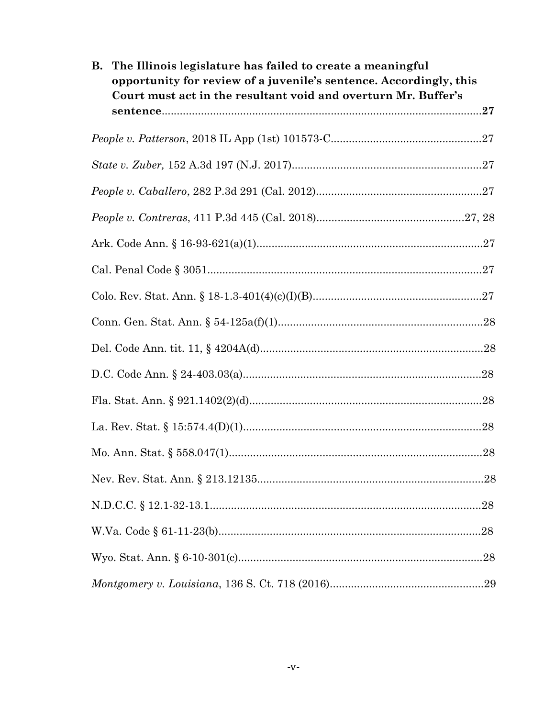| The Illinois legislature has failed to create a meaningful<br>В.<br>opportunity for review of a juvenile's sentence. Accordingly, this<br>Court must act in the resultant void and overturn Mr. Buffer's |  |
|----------------------------------------------------------------------------------------------------------------------------------------------------------------------------------------------------------|--|
|                                                                                                                                                                                                          |  |
|                                                                                                                                                                                                          |  |
|                                                                                                                                                                                                          |  |
|                                                                                                                                                                                                          |  |
|                                                                                                                                                                                                          |  |
|                                                                                                                                                                                                          |  |
|                                                                                                                                                                                                          |  |
|                                                                                                                                                                                                          |  |
|                                                                                                                                                                                                          |  |
|                                                                                                                                                                                                          |  |
|                                                                                                                                                                                                          |  |
|                                                                                                                                                                                                          |  |
|                                                                                                                                                                                                          |  |
|                                                                                                                                                                                                          |  |
|                                                                                                                                                                                                          |  |
|                                                                                                                                                                                                          |  |
|                                                                                                                                                                                                          |  |
|                                                                                                                                                                                                          |  |
|                                                                                                                                                                                                          |  |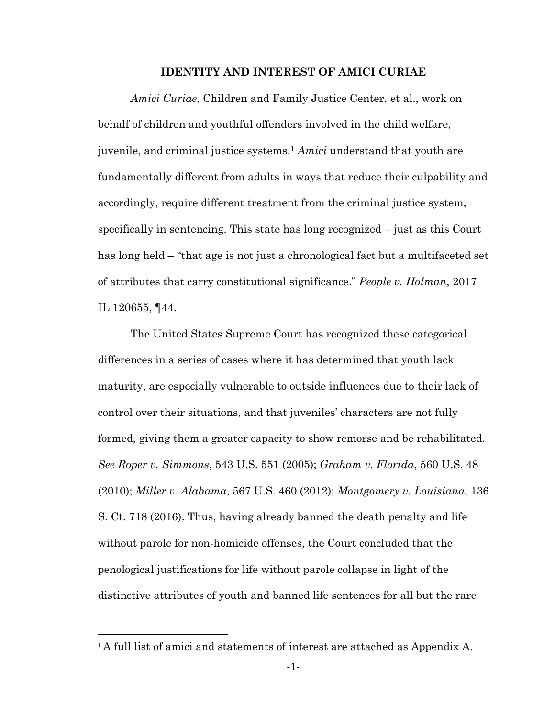#### **IDENTITY AND INTEREST OF AMICI CURIAE**

*Amici Curiae*, Children and Family Justice Center, et al., work on behalf of children and youthful offenders involved in the child welfare, juvenile, and criminal justice systems.<sup>1</sup> *Amici* understand that youth are fundamentally different from adults in ways that reduce their culpability and accordingly, require different treatment from the criminal justice system, specifically in sentencing. This state has long recognized – just as this Court has long held – "that age is not just a chronological fact but a multifaceted set of attributes that carry constitutional significance." *People v. Holman*, 2017 IL 120655, ¶44.

The United States Supreme Court has recognized these categorical differences in a series of cases where it has determined that youth lack maturity, are especially vulnerable to outside influences due to their lack of control over their situations, and that juveniles' characters are not fully formed, giving them a greater capacity to show remorse and be rehabilitated. *See Roper v. Simmons*, 543 U.S. 551 (2005); *Graham v. Florida*, 560 U.S. 48 (2010); *Miller v. Alabama*, 567 U.S. 460 (2012); *Montgomery v. Louisiana*, 136 S. Ct. 718 (2016). Thus, having already banned the death penalty and life without parole for non-homicide offenses, the Court concluded that the penological justifications for life without parole collapse in light of the distinctive attributes of youth and banned life sentences for all but the rare

 $\overline{a}$ 

<sup>&</sup>lt;sup>1</sup> A full list of amici and statements of interest are attached as Appendix A.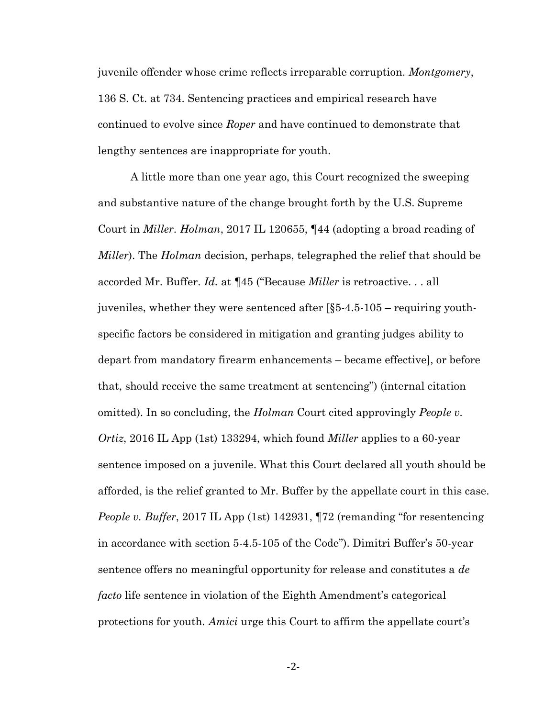juvenile offender whose crime reflects irreparable corruption. *Montgomery*, 136 S. Ct. at 734. Sentencing practices and empirical research have continued to evolve since *Roper* and have continued to demonstrate that lengthy sentences are inappropriate for youth.

A little more than one year ago, this Court recognized the sweeping and substantive nature of the change brought forth by the U.S. Supreme Court in *Miller*. *Holman*, 2017 IL 120655, ¶44 (adopting a broad reading of *Miller*). The *Holman* decision, perhaps, telegraphed the relief that should be accorded Mr. Buffer. *Id.* at ¶45 ("Because *Miller* is retroactive. . . all juveniles, whether they were sentenced after [§5-4.5-105 – requiring youthspecific factors be considered in mitigation and granting judges ability to depart from mandatory firearm enhancements – became effective], or before that, should receive the same treatment at sentencing") (internal citation omitted). In so concluding, the *Holman* Court cited approvingly *People v. Ortiz*, 2016 IL App (1st) 133294, which found *Miller* applies to a 60-year sentence imposed on a juvenile. What this Court declared all youth should be afforded, is the relief granted to Mr. Buffer by the appellate court in this case. *People v. Buffer*, 2017 IL App (1st) 142931,  $\P$ 72 (remanding "for resentencing in accordance with section 5-4.5-105 of the Code"). Dimitri Buffer's 50-year sentence offers no meaningful opportunity for release and constitutes a *de facto* life sentence in violation of the Eighth Amendment's categorical protections for youth*. Amici* urge this Court to affirm the appellate court's

-2-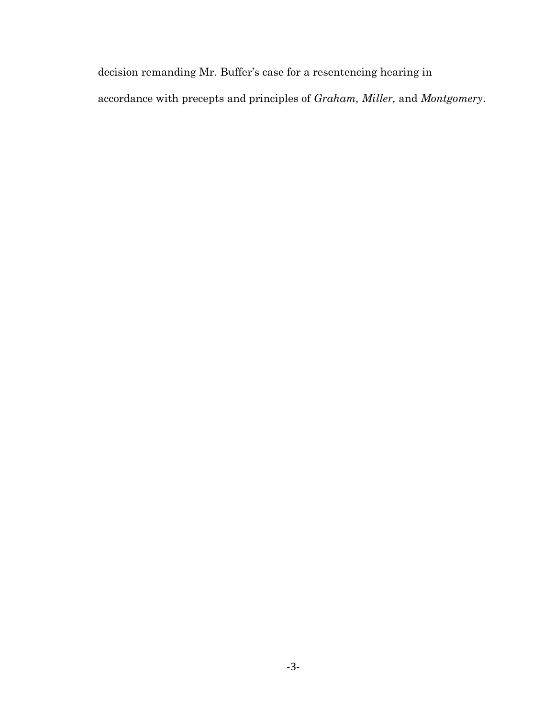decision remanding Mr. Buffer's case for a resentencing hearing in accordance with precepts and principles of *Graham, Miller,* and *Montgomery*.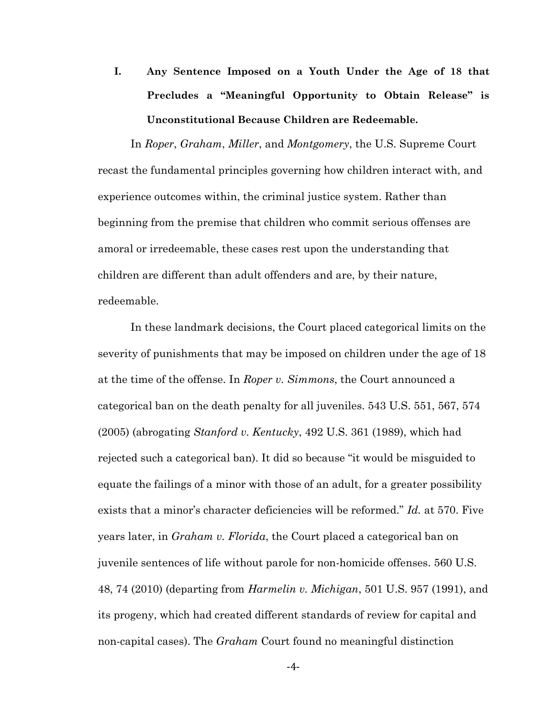**I. Any Sentence Imposed on a Youth Under the Age of 18 that Precludes a "Meaningful Opportunity to Obtain Release" is Unconstitutional Because Children are Redeemable.** 

In *Roper*, *Graham*, *Miller*, and *Montgomery*, the U.S. Supreme Court recast the fundamental principles governing how children interact with, and experience outcomes within, the criminal justice system. Rather than beginning from the premise that children who commit serious offenses are amoral or irredeemable, these cases rest upon the understanding that children are different than adult offenders and are, by their nature, redeemable.

In these landmark decisions, the Court placed categorical limits on the severity of punishments that may be imposed on children under the age of 18 at the time of the offense. In *Roper v. Simmons*, the Court announced a categorical ban on the death penalty for all juveniles. 543 U.S. 551, 567, 574 (2005) (abrogating *Stanford v. Kentucky*, 492 U.S. 361 (1989), which had rejected such a categorical ban). It did so because "it would be misguided to equate the failings of a minor with those of an adult, for a greater possibility exists that a minor's character deficiencies will be reformed." *Id.* at 570. Five years later, in *Graham v. Florida*, the Court placed a categorical ban on juvenile sentences of life without parole for non-homicide offenses. 560 U.S. 48, 74 (2010) (departing from *Harmelin v. Michigan*, 501 U.S. 957 (1991), and its progeny, which had created different standards of review for capital and non-capital cases). The *Graham* Court found no meaningful distinction

-4-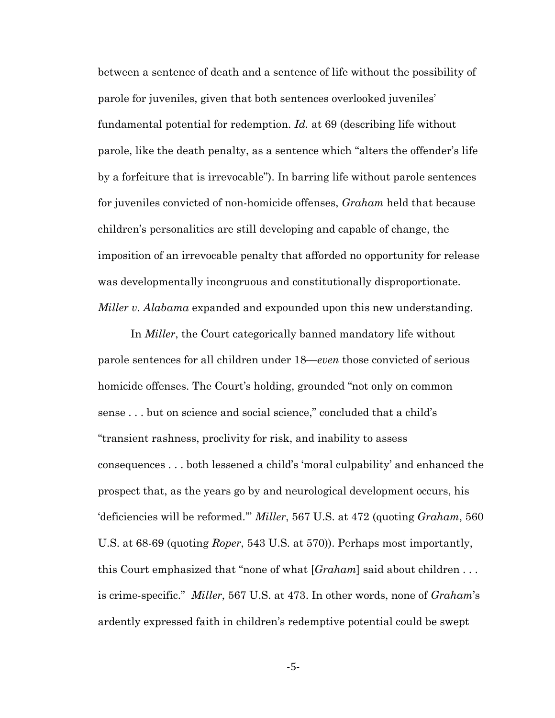between a sentence of death and a sentence of life without the possibility of parole for juveniles, given that both sentences overlooked juveniles' fundamental potential for redemption. *Id.* at 69 (describing life without parole, like the death penalty, as a sentence which "alters the offender's life by a forfeiture that is irrevocable"). In barring life without parole sentences for juveniles convicted of non-homicide offenses, *Graham* held that because children's personalities are still developing and capable of change, the imposition of an irrevocable penalty that afforded no opportunity for release was developmentally incongruous and constitutionally disproportionate. *Miller v. Alabama* expanded and expounded upon this new understanding.

In *Miller*, the Court categorically banned mandatory life without parole sentences for all children under 18—*even* those convicted of serious homicide offenses. The Court's holding, grounded "not only on common sense . . . but on science and social science," concluded that a child's "transient rashness, proclivity for risk, and inability to assess consequences . . . both lessened a child's 'moral culpability' and enhanced the prospect that, as the years go by and neurological development occurs, his 'deficiencies will be reformed.'" *Miller*, 567 U.S. at 472 (quoting *Graham*, 560 U.S. at 68-69 (quoting *Roper*, 543 U.S. at 570)). Perhaps most importantly, this Court emphasized that "none of what [*Graham*] said about children . . . is crime-specific." *Miller*, 567 U.S. at 473. In other words, none of *Graham*'s ardently expressed faith in children's redemptive potential could be swept

-5-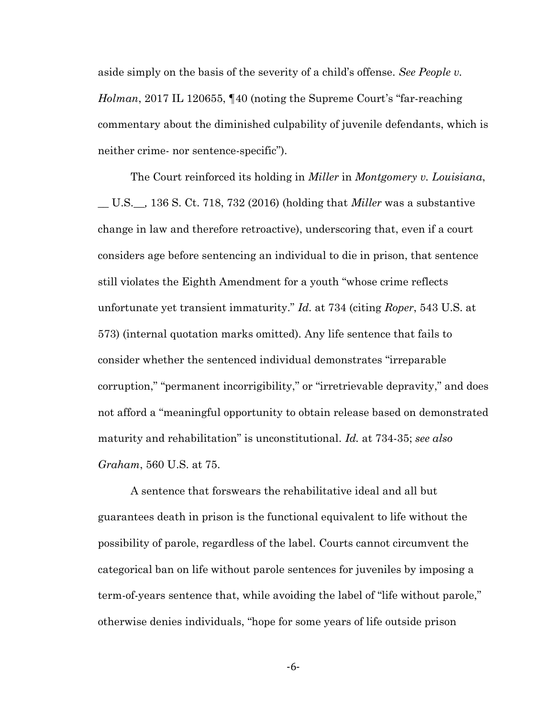aside simply on the basis of the severity of a child's offense. *See People v. Holman*, 2017 IL 120655, ¶40 (noting the Supreme Court's "far-reaching commentary about the diminished culpability of juvenile defendants, which is neither crime- nor sentence-specific").

The Court reinforced its holding in *Miller* in *Montgomery v. Louisiana*, \_\_ U.S.\_\_*,* 136 S. Ct. 718, 732 (2016) (holding that *Miller* was a substantive change in law and therefore retroactive), underscoring that, even if a court considers age before sentencing an individual to die in prison, that sentence still violates the Eighth Amendment for a youth "whose crime reflects unfortunate yet transient immaturity." *Id.* at 734 (citing *Roper*, 543 U.S. at 573) (internal quotation marks omitted). Any life sentence that fails to consider whether the sentenced individual demonstrates "irreparable corruption," "permanent incorrigibility," or "irretrievable depravity," and does not afford a "meaningful opportunity to obtain release based on demonstrated maturity and rehabilitation" is unconstitutional. *Id.* at 734-35; *see also Graham*, 560 U.S. at 75.

A sentence that forswears the rehabilitative ideal and all but guarantees death in prison is the functional equivalent to life without the possibility of parole, regardless of the label. Courts cannot circumvent the categorical ban on life without parole sentences for juveniles by imposing a term-of-years sentence that, while avoiding the label of "life without parole," otherwise denies individuals, "hope for some years of life outside prison

-6-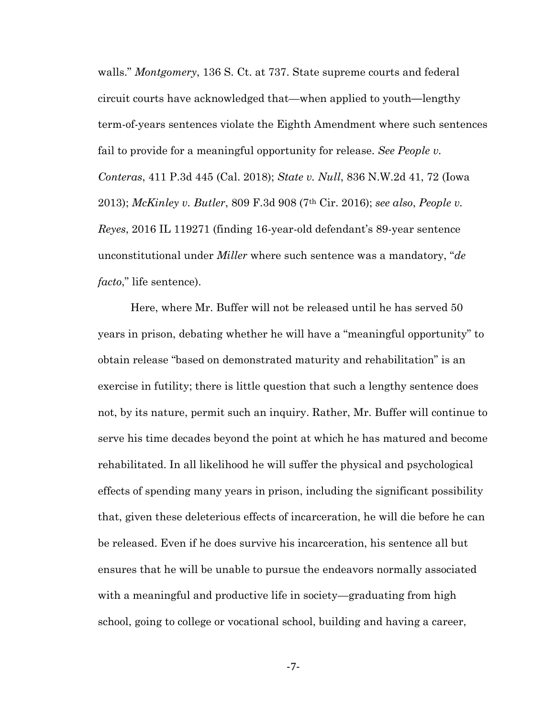walls." *Montgomery*, 136 S. Ct. at 737. State supreme courts and federal circuit courts have acknowledged that—when applied to youth**—**lengthy term-of-years sentences violate the Eighth Amendment where such sentences fail to provide for a meaningful opportunity for release. *See People v. Conteras*, 411 P.3d 445 (Cal. 2018); *State v. Null*, 836 N.W.2d 41, 72 (Iowa 2013); *McKinley v. Butler*, 809 F.3d 908 (7th Cir. 2016); *see also*, *People v. Reyes*, 2016 IL 119271 (finding 16-year-old defendant's 89-year sentence unconstitutional under *Miller* where such sentence was a mandatory, "*de facto*," life sentence).

Here, where Mr. Buffer will not be released until he has served 50 years in prison, debating whether he will have a "meaningful opportunity" to obtain release "based on demonstrated maturity and rehabilitation" is an exercise in futility; there is little question that such a lengthy sentence does not, by its nature, permit such an inquiry. Rather, Mr. Buffer will continue to serve his time decades beyond the point at which he has matured and become rehabilitated. In all likelihood he will suffer the physical and psychological effects of spending many years in prison, including the significant possibility that, given these deleterious effects of incarceration, he will die before he can be released. Even if he does survive his incarceration, his sentence all but ensures that he will be unable to pursue the endeavors normally associated with a meaningful and productive life in society—graduating from high school, going to college or vocational school, building and having a career,

-7-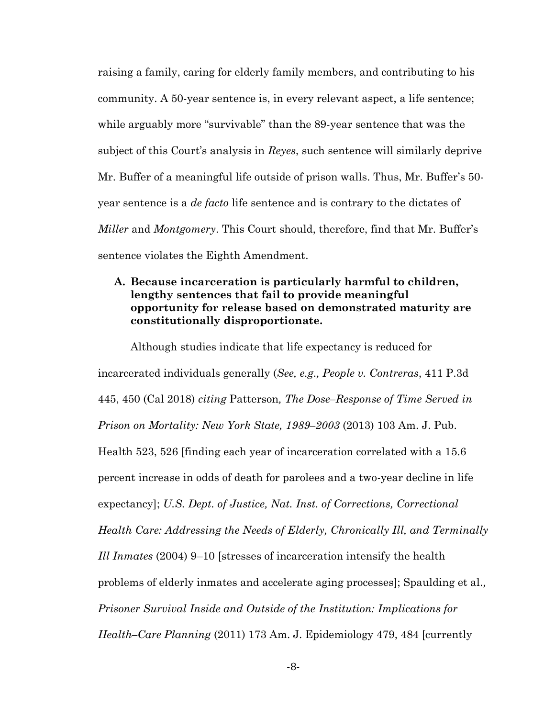raising a family, caring for elderly family members, and contributing to his community. A 50-year sentence is, in every relevant aspect, a life sentence; while arguably more "survivable" than the 89-year sentence that was the subject of this Court's analysis in *Reyes*, such sentence will similarly deprive Mr. Buffer of a meaningful life outside of prison walls. Thus, Mr. Buffer's 50 year sentence is a *de facto* life sentence and is contrary to the dictates of *Miller* and *Montgomery*. This Court should, therefore, find that Mr. Buffer's sentence violates the Eighth Amendment.

## **A. Because incarceration is particularly harmful to children, lengthy sentences that fail to provide meaningful opportunity for release based on demonstrated maturity are constitutionally disproportionate.**

Although studies indicate that life expectancy is reduced for incarcerated individuals generally (*See, e.g., People v. Contreras*, 411 P.3d 445, 450 (Cal 2018) *citing* Patterson*, The Dose–Response of Time Served in Prison on Mortality: New York State, 1989–2003* (2013) 103 Am. J. Pub. Health 523, 526 [finding each year of incarceration correlated with a 15.6 percent increase in odds of death for parolees and a two-year decline in life expectancy]; *U.S. Dept. of Justice, Nat. Inst. of Corrections, Correctional Health Care: Addressing the Needs of Elderly, Chronically Ill, and Terminally Ill Inmates* (2004) 9–10 [stresses of incarceration intensify the health problems of elderly inmates and accelerate aging processes]; Spaulding et al*., Prisoner Survival Inside and Outside of the Institution: Implications for Health–Care Planning* (2011) 173 Am. J. Epidemiology 479, 484 [currently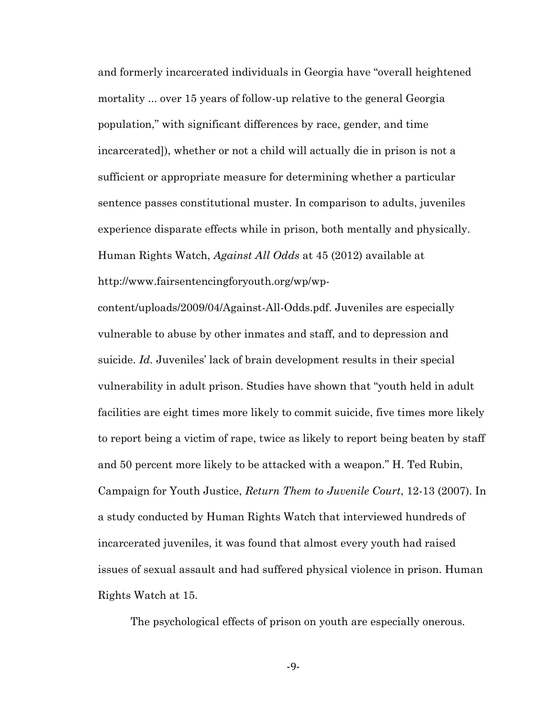and formerly incarcerated individuals in Georgia have "overall heightened mortality ... over 15 years of follow-up relative to the general Georgia population," with significant differences by race, gender, and time incarcerated]), whether or not a child will actually die in prison is not a sufficient or appropriate measure for determining whether a particular sentence passes constitutional muster. In comparison to adults, juveniles experience disparate effects while in prison, both mentally and physically. Human Rights Watch, *Against All Odds* at 45 (2012) available at http://www.fairsentencingforyouth.org/wp/wp-

content/uploads/2009/04/Against-All-Odds.pdf. Juveniles are especially vulnerable to abuse by other inmates and staff, and to depression and suicide. *Id.* Juveniles' lack of brain development results in their special vulnerability in adult prison. Studies have shown that "youth held in adult facilities are eight times more likely to commit suicide, five times more likely to report being a victim of rape, twice as likely to report being beaten by staff and 50 percent more likely to be attacked with a weapon." H. Ted Rubin, Campaign for Youth Justice, *Return Them to Juvenile Court*, 12-13 (2007). In a study conducted by Human Rights Watch that interviewed hundreds of incarcerated juveniles, it was found that almost every youth had raised issues of sexual assault and had suffered physical violence in prison. Human Rights Watch at 15.

The psychological effects of prison on youth are especially onerous.

-9-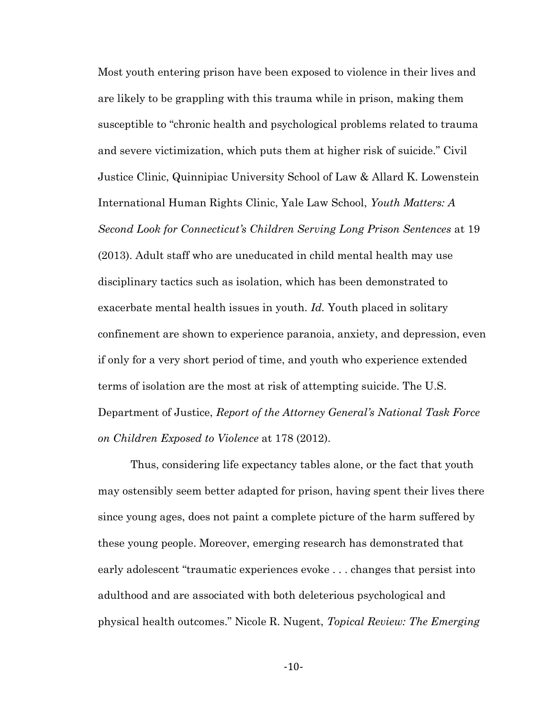Most youth entering prison have been exposed to violence in their lives and are likely to be grappling with this trauma while in prison, making them susceptible to "chronic health and psychological problems related to trauma and severe victimization, which puts them at higher risk of suicide." Civil Justice Clinic, Quinnipiac University School of Law & Allard K. Lowenstein International Human Rights Clinic, Yale Law School, *Youth Matters: A Second Look for Connecticut's Children Serving Long Prison Sentences* at 19 (2013). Adult staff who are uneducated in child mental health may use disciplinary tactics such as isolation, which has been demonstrated to exacerbate mental health issues in youth. *Id.* Youth placed in solitary confinement are shown to experience paranoia, anxiety, and depression, even if only for a very short period of time, and youth who experience extended terms of isolation are the most at risk of attempting suicide. The U.S. Department of Justice, *Report of the Attorney General's National Task Force on Children Exposed to Violence* at 178 (2012).

Thus, considering life expectancy tables alone, or the fact that youth may ostensibly seem better adapted for prison, having spent their lives there since young ages, does not paint a complete picture of the harm suffered by these young people. Moreover, emerging research has demonstrated that early adolescent "traumatic experiences evoke . . . changes that persist into adulthood and are associated with both deleterious psychological and physical health outcomes." Nicole R. Nugent, *Topical Review: The Emerging* 

-10-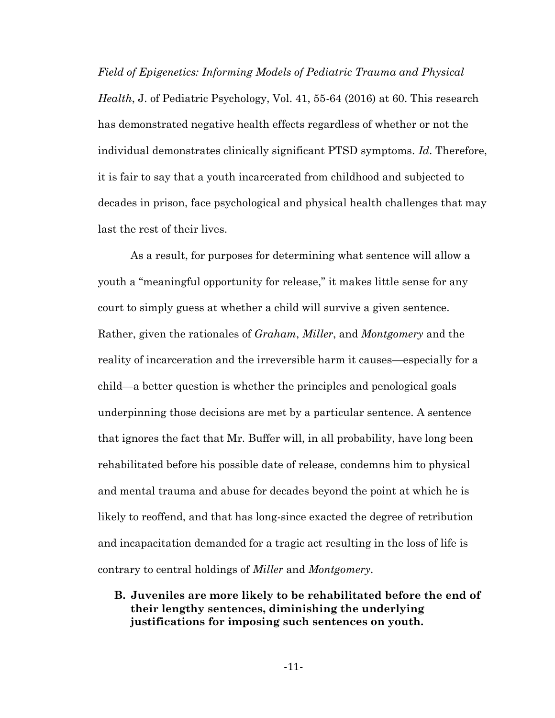*Field of Epigenetics: Informing Models of Pediatric Trauma and Physical Health*, J. of Pediatric Psychology, Vol. 41, 55-64 (2016) at 60. This research has demonstrated negative health effects regardless of whether or not the individual demonstrates clinically significant PTSD symptoms. *Id*. Therefore, it is fair to say that a youth incarcerated from childhood and subjected to decades in prison, face psychological and physical health challenges that may last the rest of their lives.

As a result, for purposes for determining what sentence will allow a youth a "meaningful opportunity for release," it makes little sense for any court to simply guess at whether a child will survive a given sentence. Rather, given the rationales of *Graham*, *Miller*, and *Montgomery* and the reality of incarceration and the irreversible harm it causes—especially for a child—a better question is whether the principles and penological goals underpinning those decisions are met by a particular sentence. A sentence that ignores the fact that Mr. Buffer will, in all probability, have long been rehabilitated before his possible date of release, condemns him to physical and mental trauma and abuse for decades beyond the point at which he is likely to reoffend, and that has long-since exacted the degree of retribution and incapacitation demanded for a tragic act resulting in the loss of life is contrary to central holdings of *Miller* and *Montgomery*.

**B. Juveniles are more likely to be rehabilitated before the end of their lengthy sentences, diminishing the underlying justifications for imposing such sentences on youth.**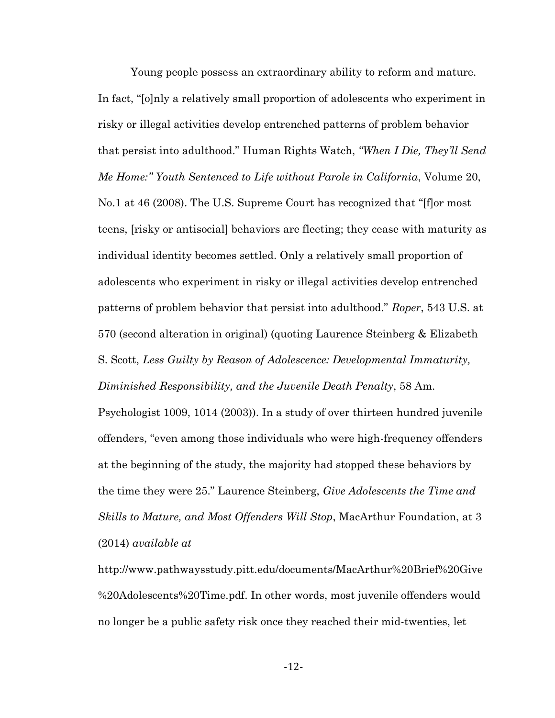Young people possess an extraordinary ability to reform and mature. In fact, "[o]nly a relatively small proportion of adolescents who experiment in risky or illegal activities develop entrenched patterns of problem behavior that persist into adulthood." Human Rights Watch, *"When I Die, They'll Send Me Home:" Youth Sentenced to Life without Parole in California*, Volume 20, No.1 at 46 (2008). The U.S. Supreme Court has recognized that "[f]or most teens, [risky or antisocial] behaviors are fleeting; they cease with maturity as individual identity becomes settled. Only a relatively small proportion of adolescents who experiment in risky or illegal activities develop entrenched patterns of problem behavior that persist into adulthood." *Roper*, 543 U.S. at 570 (second alteration in original) (quoting Laurence Steinberg & Elizabeth S. Scott, *Less Guilty by Reason of Adolescence: Developmental Immaturity, Diminished Responsibility, and the Juvenile Death Penalty*, 58 Am.

Psychologist 1009, 1014 (2003)). In a study of over thirteen hundred juvenile offenders, "even among those individuals who were high-frequency offenders at the beginning of the study, the majority had stopped these behaviors by the time they were 25." Laurence Steinberg, *Give Adolescents the Time and Skills to Mature, and Most Offenders Will Stop*, MacArthur Foundation, at 3 (2014) *available at* 

http://www.pathwaysstudy.pitt.edu/documents/MacArthur%20Brief%20Give %20Adolescents%20Time.pdf. In other words, most juvenile offenders would no longer be a public safety risk once they reached their mid-twenties, let

-12-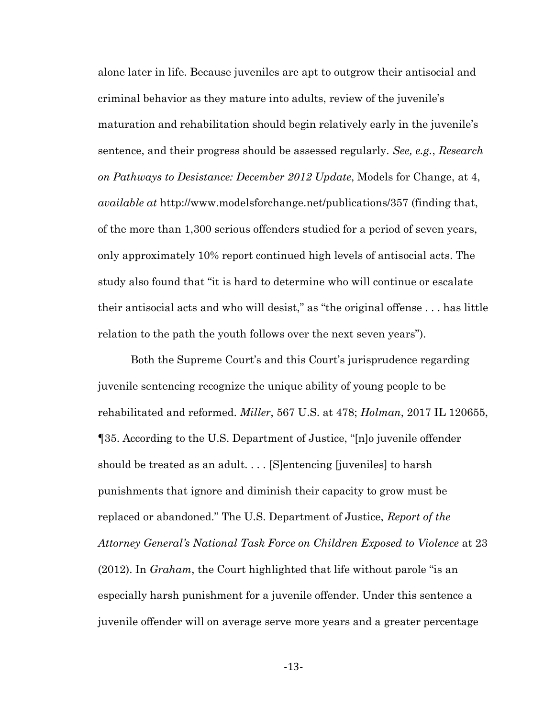alone later in life. Because juveniles are apt to outgrow their antisocial and criminal behavior as they mature into adults, review of the juvenile's maturation and rehabilitation should begin relatively early in the juvenile's sentence, and their progress should be assessed regularly. *See, e.g.*, *Research on Pathways to Desistance: December 2012 Update*, Models for Change, at 4, *available at* http://www.modelsforchange.net/publications/357 (finding that, of the more than 1,300 serious offenders studied for a period of seven years, only approximately 10% report continued high levels of antisocial acts. The study also found that "it is hard to determine who will continue or escalate their antisocial acts and who will desist," as "the original offense . . . has little relation to the path the youth follows over the next seven years").

Both the Supreme Court's and this Court's jurisprudence regarding juvenile sentencing recognize the unique ability of young people to be rehabilitated and reformed. *Miller*, 567 U.S. at 478; *Holman*, 2017 IL 120655, ¶35. According to the U.S. Department of Justice, "[n]o juvenile offender should be treated as an adult. . . . [S]entencing [juveniles] to harsh punishments that ignore and diminish their capacity to grow must be replaced or abandoned." The U.S. Department of Justice, *Report of the Attorney General's National Task Force on Children Exposed to Violence* at 23 (2012). In *Graham*, the Court highlighted that life without parole "is an especially harsh punishment for a juvenile offender. Under this sentence a juvenile offender will on average serve more years and a greater percentage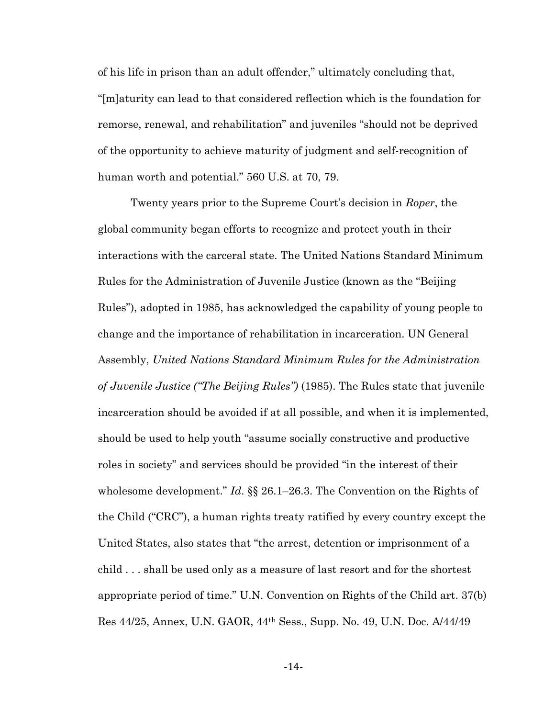of his life in prison than an adult offender," ultimately concluding that, "[m]aturity can lead to that considered reflection which is the foundation for remorse, renewal, and rehabilitation" and juveniles "should not be deprived of the opportunity to achieve maturity of judgment and self-recognition of human worth and potential." 560 U.S. at 70, 79.

Twenty years prior to the Supreme Court's decision in *Roper*, the global community began efforts to recognize and protect youth in their interactions with the carceral state. The United Nations Standard Minimum Rules for the Administration of Juvenile Justice (known as the "Beijing Rules"), adopted in 1985, has acknowledged the capability of young people to change and the importance of rehabilitation in incarceration. UN General Assembly, *United Nations Standard Minimum Rules for the Administration of Juvenile Justice ("The Beijing Rules")* (1985). The Rules state that juvenile incarceration should be avoided if at all possible, and when it is implemented, should be used to help youth "assume socially constructive and productive roles in society" and services should be provided "in the interest of their wholesome development." *Id*. §§ 26.1–26.3. The Convention on the Rights of the Child ("CRC"), a human rights treaty ratified by every country except the United States, also states that "the arrest, detention or imprisonment of a child . . . shall be used only as a measure of last resort and for the shortest appropriate period of time." U.N. Convention on Rights of the Child art. 37(b) Res 44/25, Annex, U.N. GAOR, 44th Sess., Supp. No. 49, U.N. Doc. A/44/49

-14-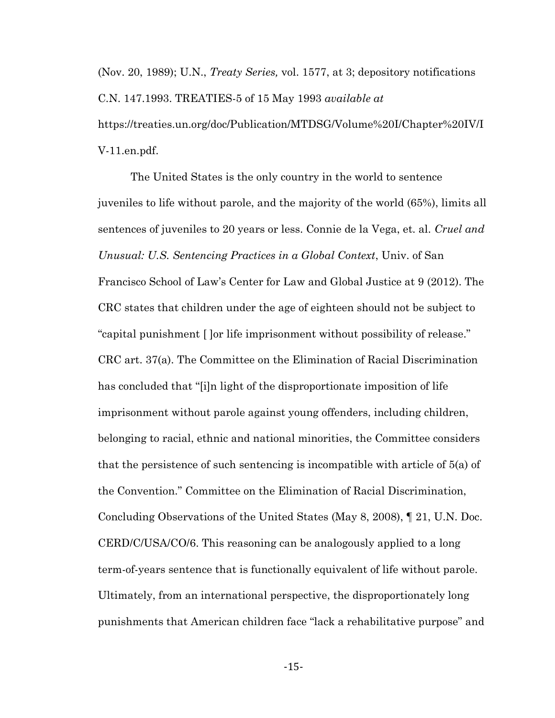(Nov. 20, 1989); U.N., *Treaty Series,* vol. 1577, at 3; depository notifications C.N. 147.1993. TREATIES-5 of 15 May 1993 *available at* https://treaties.un.org/doc/Publication/MTDSG/Volume%20I/Chapter%20IV/I V-11.en.pdf.

The United States is the only country in the world to sentence juveniles to life without parole, and the majority of the world (65%), limits all sentences of juveniles to 20 years or less. Connie de la Vega, et. al. *Cruel and Unusual: U.S. Sentencing Practices in a Global Context*, Univ. of San Francisco School of Law's Center for Law and Global Justice at 9 (2012). The CRC states that children under the age of eighteen should not be subject to "capital punishment [ ]or life imprisonment without possibility of release." CRC art. 37(a). The Committee on the Elimination of Racial Discrimination has concluded that "[i]n light of the disproportionate imposition of life imprisonment without parole against young offenders, including children, belonging to racial, ethnic and national minorities, the Committee considers that the persistence of such sentencing is incompatible with article of 5(a) of the Convention." Committee on the Elimination of Racial Discrimination, Concluding Observations of the United States (May 8, 2008), ¶ 21, U.N. Doc. CERD/C/USA/CO/6. This reasoning can be analogously applied to a long term-of-years sentence that is functionally equivalent of life without parole. Ultimately, from an international perspective, the disproportionately long punishments that American children face "lack a rehabilitative purpose" and

-15-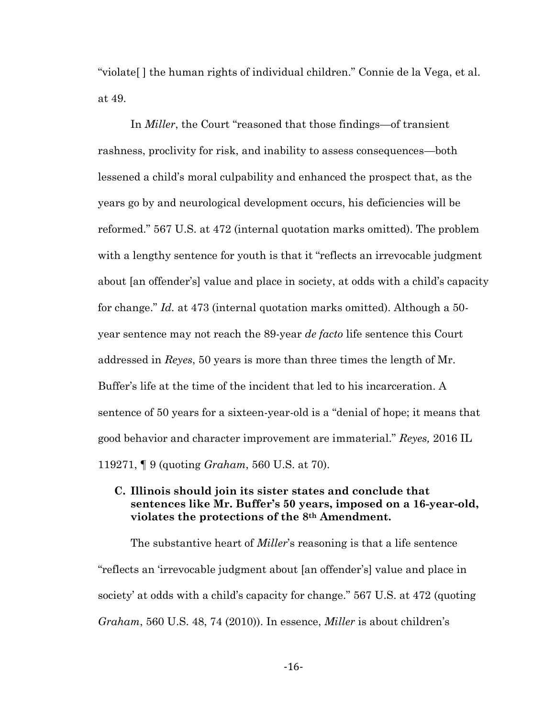"violate[ ] the human rights of individual children." Connie de la Vega, et al. at 49.

In *Miller*, the Court "reasoned that those findings—of transient rashness, proclivity for risk, and inability to assess consequences—both lessened a child's moral culpability and enhanced the prospect that, as the years go by and neurological development occurs, his deficiencies will be reformed." 567 U.S. at 472 (internal quotation marks omitted). The problem with a lengthy sentence for youth is that it "reflects an irrevocable judgment" about [an offender's] value and place in society, at odds with a child's capacity for change." *Id.* at 473 (internal quotation marks omitted). Although a 50 year sentence may not reach the 89-year *de facto* life sentence this Court addressed in *Reyes*, 50 years is more than three times the length of Mr. Buffer's life at the time of the incident that led to his incarceration. A sentence of 50 years for a sixteen-year-old is a "denial of hope; it means that good behavior and character improvement are immaterial." *Reyes,* 2016 IL 119271, ¶ 9 (quoting *Graham*, 560 U.S. at 70).

## **C. Illinois should join its sister states and conclude that sentences like Mr. Buffer's 50 years, imposed on a 16-year-old, violates the protections of the 8th Amendment.**

The substantive heart of *Miller*'s reasoning is that a life sentence "reflects an 'irrevocable judgment about [an offender's] value and place in society' at odds with a child's capacity for change." 567 U.S. at 472 (quoting *Graham*, 560 U.S. 48, 74 (2010)). In essence, *Miller* is about children's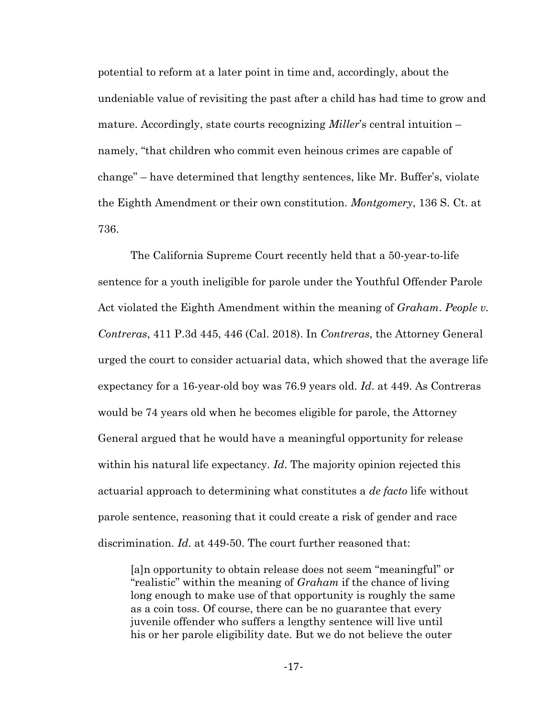potential to reform at a later point in time and, accordingly, about the undeniable value of revisiting the past after a child has had time to grow and mature. Accordingly, state courts recognizing *Miller*'s central intuition – namely, "that children who commit even heinous crimes are capable of change" – have determined that lengthy sentences, like Mr. Buffer's, violate the Eighth Amendment or their own constitution. *Montgomery*, 136 S. Ct. at 736.

The California Supreme Court recently held that a 50-year-to-life sentence for a youth ineligible for parole under the Youthful Offender Parole Act violated the Eighth Amendment within the meaning of *Graham*. *People v. Contreras*, 411 P.3d 445, 446 (Cal. 2018). In *Contreras*, the Attorney General urged the court to consider actuarial data, which showed that the average life expectancy for a 16-year-old boy was 76.9 years old. *Id*. at 449. As Contreras would be 74 years old when he becomes eligible for parole, the Attorney General argued that he would have a meaningful opportunity for release within his natural life expectancy. *Id*. The majority opinion rejected this actuarial approach to determining what constitutes a *de facto* life without parole sentence, reasoning that it could create a risk of gender and race discrimination. *Id*. at 449-50. The court further reasoned that:

[a]n opportunity to obtain release does not seem "meaningful" or "realistic" within the meaning of *Graham* if the chance of living long enough to make use of that opportunity is roughly the same as a coin toss. Of course, there can be no guarantee that every juvenile offender who suffers a lengthy sentence will live until his or her parole eligibility date. But we do not believe the outer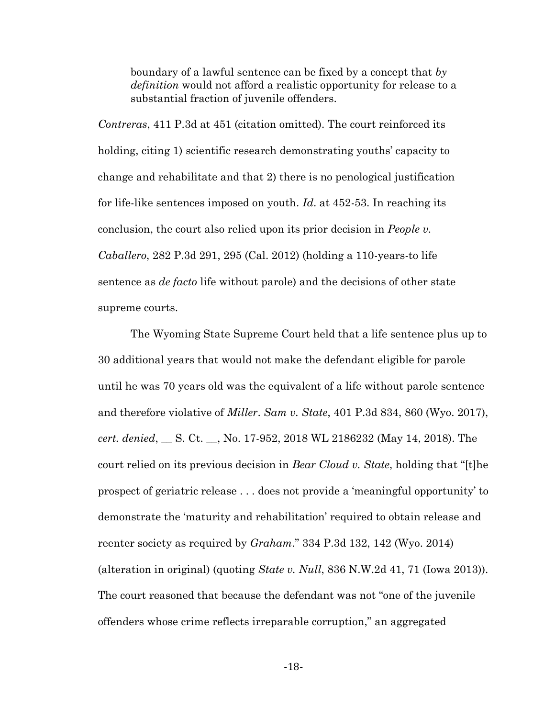boundary of a lawful sentence can be fixed by a concept that *by definition* would not afford a realistic opportunity for release to a substantial fraction of juvenile offenders.

*Contreras*, 411 P.3d at 451 (citation omitted). The court reinforced its holding, citing 1) scientific research demonstrating youths' capacity to change and rehabilitate and that 2) there is no penological justification for life-like sentences imposed on youth. *Id*. at 452-53. In reaching its conclusion, the court also relied upon its prior decision in *People v. Caballero*, 282 P.3d 291, 295 (Cal. 2012) (holding a 110-years-to life sentence as *de facto* life without parole) and the decisions of other state supreme courts.

The Wyoming State Supreme Court held that a life sentence plus up to 30 additional years that would not make the defendant eligible for parole until he was 70 years old was the equivalent of a life without parole sentence and therefore violative of *Miller*. *Sam v. State*, 401 P.3d 834, 860 (Wyo. 2017), *cert. denied*, \_\_ S. Ct. \_\_, No. 17-952, 2018 WL 2186232 (May 14, 2018). The court relied on its previous decision in *Bear Cloud v. State*, holding that "[t]he prospect of geriatric release . . . does not provide a 'meaningful opportunity' to demonstrate the 'maturity and rehabilitation' required to obtain release and reenter society as required by *Graham*." 334 P.3d 132, 142 (Wyo. 2014) (alteration in original) (quoting *State v. Null*, 836 N.W.2d 41, 71 (Iowa 2013)). The court reasoned that because the defendant was not "one of the juvenile offenders whose crime reflects irreparable corruption," an aggregated

-18-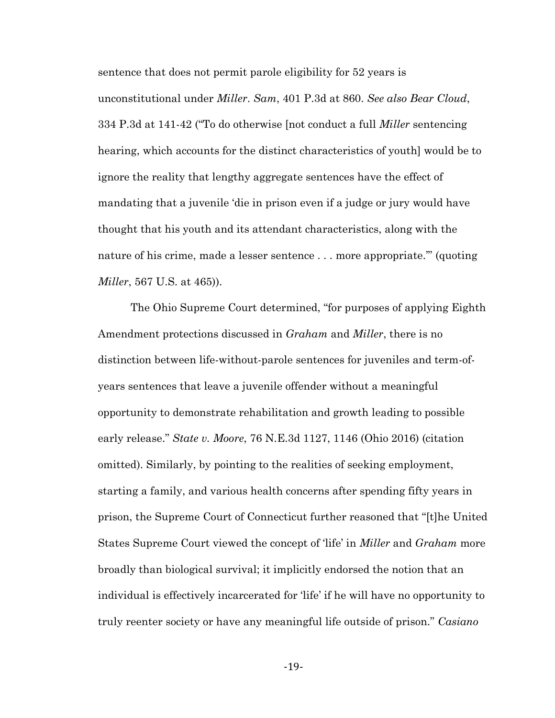sentence that does not permit parole eligibility for 52 years is unconstitutional under *Miller*. *Sam*, 401 P.3d at 860. *See also Bear Cloud*, 334 P.3d at 141-42 ("To do otherwise [not conduct a full *Miller* sentencing hearing, which accounts for the distinct characteristics of youth] would be to ignore the reality that lengthy aggregate sentences have the effect of mandating that a juvenile 'die in prison even if a judge or jury would have thought that his youth and its attendant characteristics, along with the nature of his crime, made a lesser sentence . . . more appropriate.'" (quoting *Miller*, 567 U.S. at 465)).

The Ohio Supreme Court determined, "for purposes of applying Eighth Amendment protections discussed in *Graham* and *Miller*, there is no distinction between life-without-parole sentences for juveniles and term-ofyears sentences that leave a juvenile offender without a meaningful opportunity to demonstrate rehabilitation and growth leading to possible early release." *State v. Moore*, 76 N.E.3d 1127, 1146 (Ohio 2016) (citation omitted). Similarly, by pointing to the realities of seeking employment, starting a family, and various health concerns after spending fifty years in prison, the Supreme Court of Connecticut further reasoned that "[t]he United States Supreme Court viewed the concept of 'life' in *Miller* and *Graham* more broadly than biological survival; it implicitly endorsed the notion that an individual is effectively incarcerated for 'life' if he will have no opportunity to truly reenter society or have any meaningful life outside of prison." *Casiano* 

-19-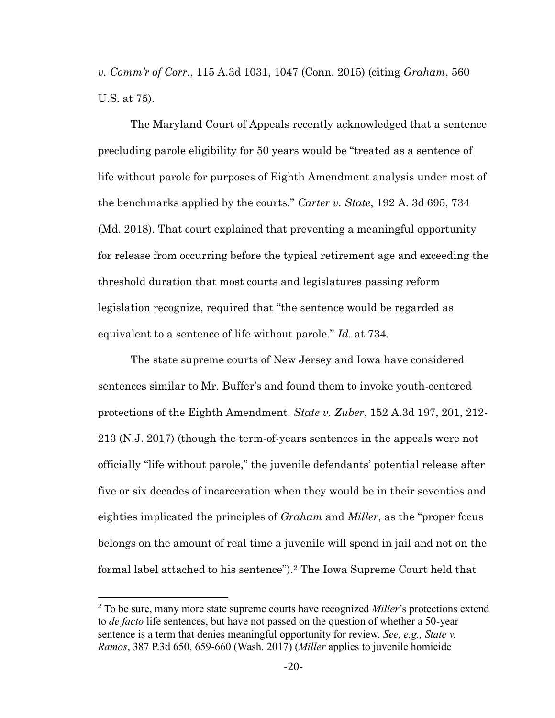*v. Comm'r of Corr.*, 115 A.3d 1031, 1047 (Conn. 2015) (citing *Graham*, 560 U.S. at 75).

The Maryland Court of Appeals recently acknowledged that a sentence precluding parole eligibility for 50 years would be "treated as a sentence of life without parole for purposes of Eighth Amendment analysis under most of the benchmarks applied by the courts." *Carter v. State*, 192 A. 3d 695, 734 (Md. 2018). That court explained that preventing a meaningful opportunity for release from occurring before the typical retirement age and exceeding the threshold duration that most courts and legislatures passing reform legislation recognize, required that "the sentence would be regarded as equivalent to a sentence of life without parole." *Id.* at 734.

The state supreme courts of New Jersey and Iowa have considered sentences similar to Mr. Buffer's and found them to invoke youth-centered protections of the Eighth Amendment. *State v. Zuber*, 152 A.3d 197, 201, 212- 213 (N.J. 2017) (though the term-of-years sentences in the appeals were not officially "life without parole," the juvenile defendants' potential release after five or six decades of incarceration when they would be in their seventies and eighties implicated the principles of *Graham* and *Miller*, as the "proper focus belongs on the amount of real time a juvenile will spend in jail and not on the formal label attached to his sentence").<sup>2</sup> The Iowa Supreme Court held that

 $\overline{a}$ 

<sup>2</sup> To be sure, many more state supreme courts have recognized *Miller*'s protections extend to *de facto* life sentences, but have not passed on the question of whether a 50-year sentence is a term that denies meaningful opportunity for review. *See, e.g., State v. Ramos*, 387 P.3d 650, 659-660 (Wash. 2017) (*Miller* applies to juvenile homicide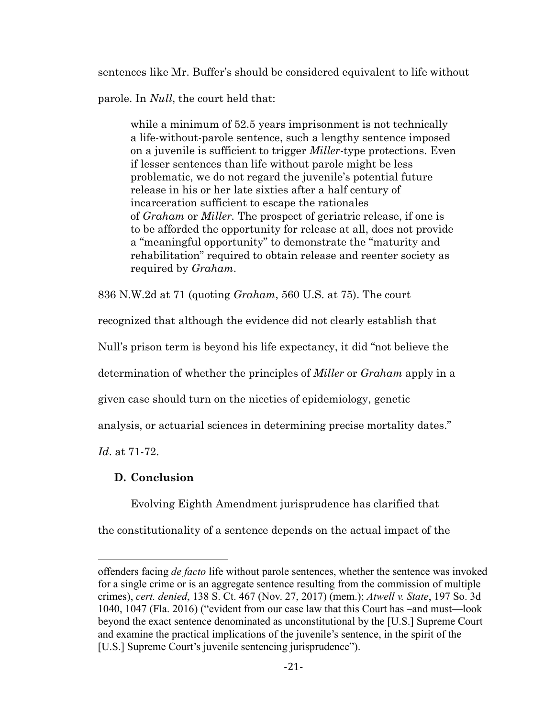sentences like Mr. Buffer's should be considered equivalent to life without parole. In *Null*, the court held that:

while a minimum of 52.5 years imprisonment is not technically a life-without-parole sentence, such a lengthy sentence imposed on a juvenile is sufficient to trigger *Miller-*type protections. Even if lesser sentences than life without parole might be less problematic, we do not regard the juvenile's potential future release in his or her late sixties after a half century of incarceration sufficient to escape the rationales of *[Graham](https://1.next.westlaw.com/Link/Document/FullText?findType=Y&serNum=2022052221&originatingDoc=If10fd1f1066b11e3a98ec867961a22de&refType=RP&originationContext=document&transitionType=DocumentItem&contextData=(sc.History*oc.Search))* or *[Miller.](https://1.next.westlaw.com/Link/Document/FullText?findType=Y&serNum=2027964006&originatingDoc=If10fd1f1066b11e3a98ec867961a22de&refType=RP&originationContext=document&transitionType=DocumentItem&contextData=(sc.History*oc.Search))* The prospect of geriatric release, if one is to be afforded the opportunity for release at all, does not provide a "meaningful opportunity" to demonstrate the "maturity and rehabilitation" required to obtain release and reenter society as required by *Graham*.

836 N.W.2d at 71 (quoting *Graham*, 560 U.S. at 75). The court

recognized that although the evidence did not clearly establish that

Null's prison term is beyond his life expectancy, it did "not believe the

determination of whether the principles of *Miller* or *Graham* apply in a

given case should turn on the niceties of epidemiology, genetic

analysis, or actuarial sciences in determining precise mortality dates."

*Id*. at 71-72.

 $\overline{a}$ 

# **D. Conclusion**

Evolving Eighth Amendment jurisprudence has clarified that

the constitutionality of a sentence depends on the actual impact of the

offenders facing *de facto* life without parole sentences, whether the sentence was invoked for a single crime or is an aggregate sentence resulting from the commission of multiple crimes), *cert. denied*, 138 S. Ct. 467 (Nov. 27, 2017) (mem.); *Atwell v. State*, 197 So. 3d 1040, 1047 (Fla. 2016) ("evident from our case law that this Court has –and must—look beyond the exact sentence denominated as unconstitutional by the [U.S.] Supreme Court and examine the practical implications of the juvenile's sentence, in the spirit of the [U.S.] Supreme Court's juvenile sentencing jurisprudence").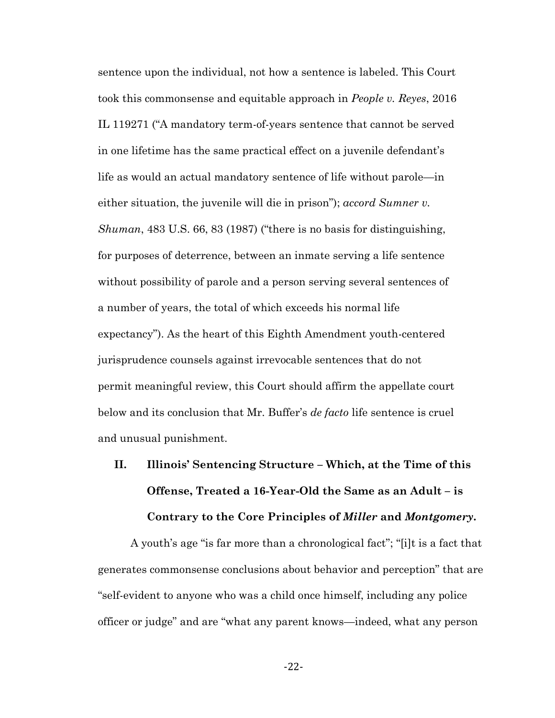sentence upon the individual, not how a sentence is labeled. This Court took this commonsense and equitable approach in *People v. Reyes*, 2016 IL 119271 ("A mandatory term-of-years sentence that cannot be served in one lifetime has the same practical effect on a juvenile defendant's life as would an actual mandatory sentence of life without parole—in either situation, the juvenile will die in prison"); *accord Sumner v. Shuman*, 483 U.S. 66, 83 (1987) ("there is no basis for distinguishing, for purposes of deterrence, between an inmate serving a life sentence without possibility of parole and a person serving several sentences of a number of years, the total of which exceeds his normal life expectancy"). As the heart of this Eighth Amendment youth-centered jurisprudence counsels against irrevocable sentences that do not permit meaningful review, this Court should affirm the appellate court below and its conclusion that Mr. Buffer's *de facto* life sentence is cruel and unusual punishment.

# **II. Illinois' Sentencing Structure – Which, at the Time of this Offense, Treated a 16-Year-Old the Same as an Adult – is Contrary to the Core Principles of** *Miller* **and** *Montgomery***.**

A youth's age "is far more than a chronological fact"; "[i]t is a fact that generates commonsense conclusions about behavior and perception" that are "self-evident to anyone who was a child once himself, including any police officer or judge" and are "what any parent knows—indeed, what any person

-22-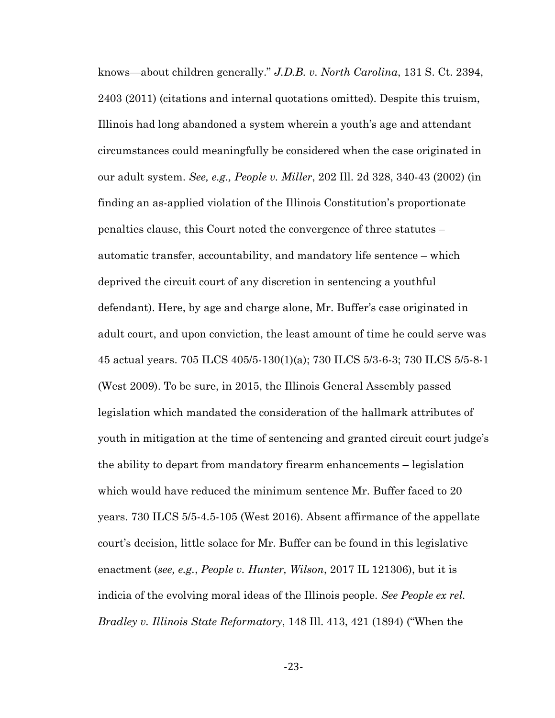knows—about children generally." *J.D.B. v. North Carolina*, 131 S. Ct. 2394, 2403 (2011) (citations and internal quotations omitted). Despite this truism, Illinois had long abandoned a system wherein a youth's age and attendant circumstances could meaningfully be considered when the case originated in our adult system. *See, e.g., People v. Miller*, 202 Ill. 2d 328, 340-43 (2002) (in finding an as-applied violation of the Illinois Constitution's proportionate penalties clause, this Court noted the convergence of three statutes – automatic transfer, accountability, and mandatory life sentence – which deprived the circuit court of any discretion in sentencing a youthful defendant). Here, by age and charge alone, Mr. Buffer's case originated in adult court, and upon conviction, the least amount of time he could serve was 45 actual years. 705 ILCS 405/5-130(1)(a); 730 ILCS 5/3-6-3; 730 ILCS 5/5-8-1 (West 2009). To be sure, in 2015, the Illinois General Assembly passed legislation which mandated the consideration of the hallmark attributes of youth in mitigation at the time of sentencing and granted circuit court judge's the ability to depart from mandatory firearm enhancements – legislation which would have reduced the minimum sentence Mr. Buffer faced to 20 years. 730 ILCS 5/5-4.5-105 (West 2016). Absent affirmance of the appellate court's decision, little solace for Mr. Buffer can be found in this legislative enactment (*see, e.g.*, *People v. Hunter, Wilson*, 2017 IL 121306), but it is indicia of the evolving moral ideas of the Illinois people. *See People ex rel. Bradley v. Illinois State Reformatory*, 148 Ill. 413, 421 (1894) ("When the

-23-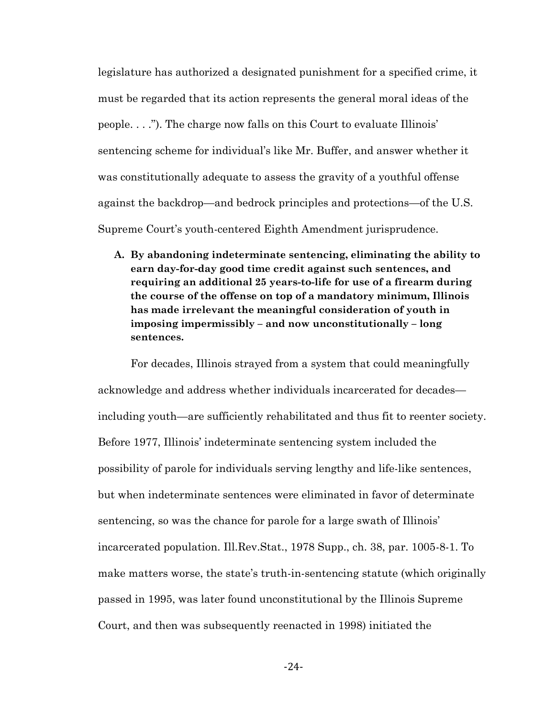legislature has authorized a designated punishment for a specified crime, it must be regarded that its action represents the general moral ideas of the people. . . ."). The charge now falls on this Court to evaluate Illinois' sentencing scheme for individual's like Mr. Buffer, and answer whether it was constitutionally adequate to assess the gravity of a youthful offense against the backdrop—and bedrock principles and protections—of the U.S. Supreme Court's youth-centered Eighth Amendment jurisprudence.

**A. By abandoning indeterminate sentencing, eliminating the ability to earn day-for-day good time credit against such sentences, and requiring an additional 25 years-to-life for use of a firearm during the course of the offense on top of a mandatory minimum, Illinois has made irrelevant the meaningful consideration of youth in imposing impermissibly – and now unconstitutionally – long sentences.**

For decades, Illinois strayed from a system that could meaningfully acknowledge and address whether individuals incarcerated for decades including youth—are sufficiently rehabilitated and thus fit to reenter society. Before 1977, Illinois' indeterminate sentencing system included the possibility of parole for individuals serving lengthy and life-like sentences, but when indeterminate sentences were eliminated in favor of determinate sentencing, so was the chance for parole for a large swath of Illinois' incarcerated population. Ill.Rev.Stat., 1978 Supp., ch. 38, par. 1005-8-1. To make matters worse, the state's truth-in-sentencing statute (which originally passed in 1995, was later found unconstitutional by the Illinois Supreme Court, and then was subsequently reenacted in 1998) initiated the

-24-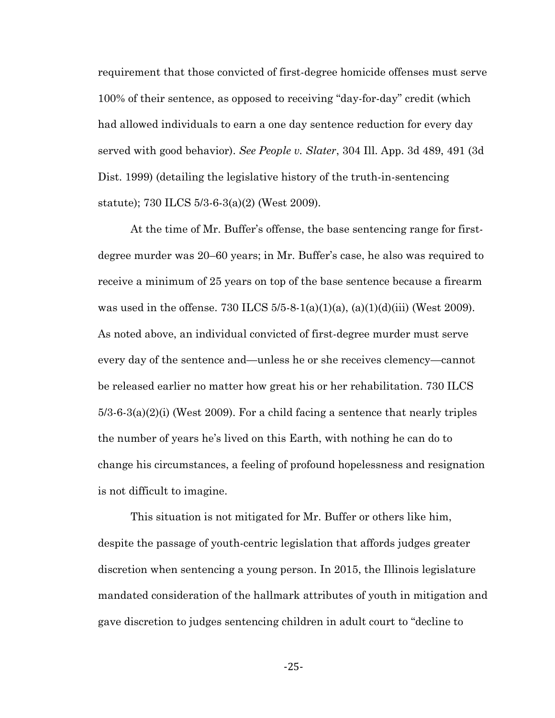requirement that those convicted of first-degree homicide offenses must serve 100% of their sentence, as opposed to receiving "day-for-day" credit (which had allowed individuals to earn a one day sentence reduction for every day served with good behavior). *See People v. Slater*, 304 Ill. App. 3d 489, 491 (3d Dist. 1999) (detailing the legislative history of the truth-in-sentencing statute); 730 ILCS 5/3-6-3(a)(2) (West 2009).

At the time of Mr. Buffer's offense, the base sentencing range for firstdegree murder was 20–60 years; in Mr. Buffer's case, he also was required to receive a minimum of 25 years on top of the base sentence because a firearm was used in the offense. 730 ILCS  $5/5-8-1(a)(1)(a)$ ,  $(a)(1)(d)(iii)$  (West 2009). As noted above, an individual convicted of first-degree murder must serve every day of the sentence and—unless he or she receives clemency—cannot be released earlier no matter how great his or her rehabilitation. 730 ILCS  $5/3$ -6-3(a)(2)(i) (West 2009). For a child facing a sentence that nearly triples the number of years he's lived on this Earth, with nothing he can do to change his circumstances, a feeling of profound hopelessness and resignation is not difficult to imagine.

This situation is not mitigated for Mr. Buffer or others like him, despite the passage of youth-centric legislation that affords judges greater discretion when sentencing a young person. In 2015, the Illinois legislature mandated consideration of the hallmark attributes of youth in mitigation and gave discretion to judges sentencing children in adult court to "decline to

-25-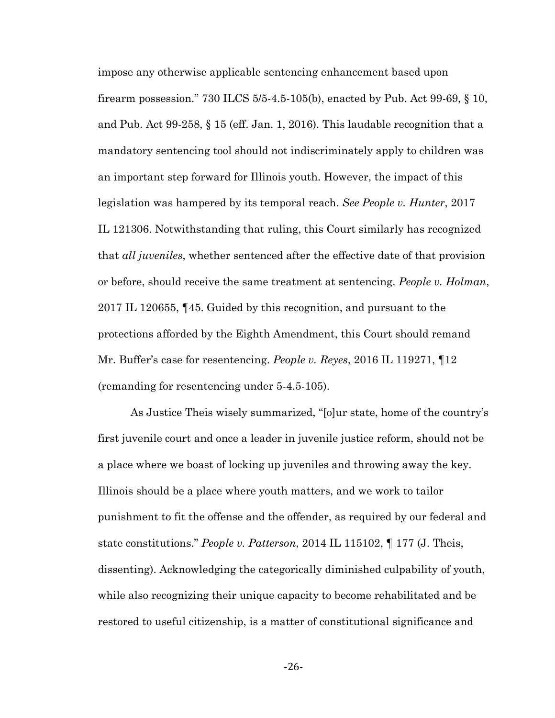impose any otherwise applicable sentencing enhancement based upon firearm possession." 730 ILCS 5/5-4.5-105(b), enacted by Pub. Act 99-69, § 10, and Pub. Act 99-258, § 15 (eff. Jan. 1, 2016). This laudable recognition that a mandatory sentencing tool should not indiscriminately apply to children was an important step forward for Illinois youth. However, the impact of this legislation was hampered by its temporal reach. *See People v. Hunter*, 2017 IL 121306. Notwithstanding that ruling, this Court similarly has recognized that *all juveniles*, whether sentenced after the effective date of that provision or before, should receive the same treatment at sentencing. *People v. Holman*, 2017 IL 120655, ¶45. Guided by this recognition, and pursuant to the protections afforded by the Eighth Amendment, this Court should remand Mr. Buffer's case for resentencing. *People v. Reyes*, 2016 IL 119271, ¶12 (remanding for resentencing under 5-4.5-105).

As Justice Theis wisely summarized, "[o]ur state, home of the country's first juvenile court and once a leader in juvenile justice reform, should not be a place where we boast of locking up juveniles and throwing away the key. Illinois should be a place where youth matters, and we work to tailor punishment to fit the offense and the offender, as required by our federal and state constitutions." *People v. Patterson*, 2014 IL 115102, ¶ 177 (J. Theis, dissenting). Acknowledging the categorically diminished culpability of youth, while also recognizing their unique capacity to become rehabilitated and be restored to useful citizenship, is a matter of constitutional significance and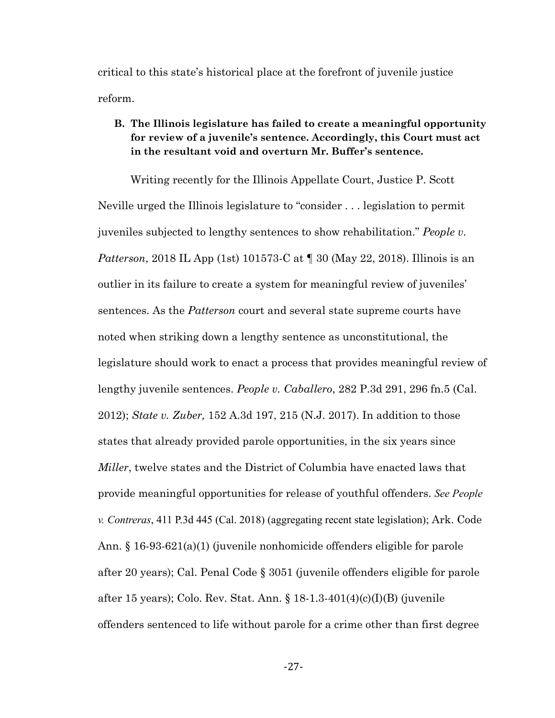critical to this state's historical place at the forefront of juvenile justice reform.

## **B. The Illinois legislature has failed to create a meaningful opportunity for review of a juvenile's sentence. Accordingly, this Court must act in the resultant void and overturn Mr. Buffer's sentence.**

Writing recently for the Illinois Appellate Court, Justice P. Scott Neville urged the Illinois legislature to "consider . . . legislation to permit juveniles subjected to lengthy sentences to show rehabilitation." *People v. Patterson*, 2018 IL App (1st) 101573-C at ¶ 30 (May 22, 2018). Illinois is an outlier in its failure to create a system for meaningful review of juveniles' sentences. As the *Patterson* court and several state supreme courts have noted when striking down a lengthy sentence as unconstitutional, the legislature should work to enact a process that provides meaningful review of lengthy juvenile sentences. *People v. Caballero*, 282 P.3d 291, 296 fn.5 (Cal. 2012); *State v. Zuber,* 152 A.3d 197, 215 (N.J. 2017). In addition to those states that already provided parole opportunities, in the six years since *Miller*, twelve states and the District of Columbia have enacted laws that provide meaningful opportunities for release of youthful offenders. *See People v. Contreras*, 411 P.3d 445 (Cal. 2018) (aggregating recent state legislation); Ark. Code Ann. § 16-93-621(a)(1) (juvenile nonhomicide offenders eligible for parole after 20 years); Cal. Penal Code § 3051 (juvenile offenders eligible for parole after 15 years); Colo. Rev. Stat. Ann. § 18-1.3-401(4)(c)(I)(B) (juvenile offenders sentenced to life without parole for a crime other than first degree

-27-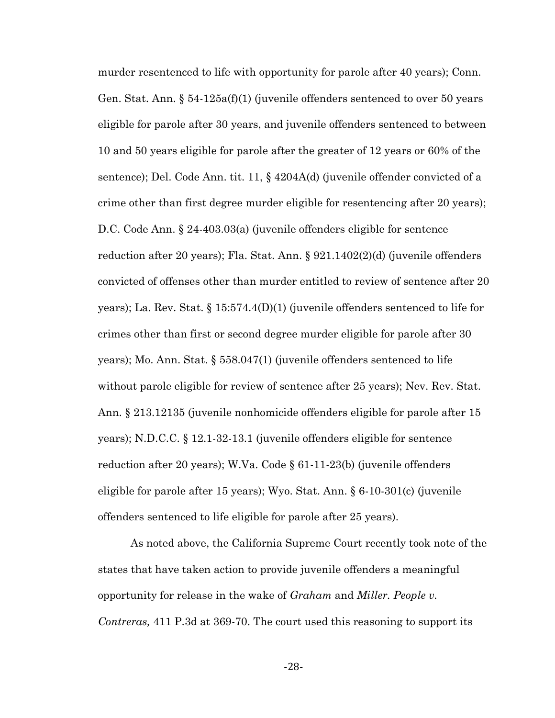murder resentenced to life with opportunity for parole after 40 years); Conn. Gen. Stat. Ann. § 54-125a(f)(1) (juvenile offenders sentenced to over 50 years eligible for parole after 30 years, and juvenile offenders sentenced to between 10 and 50 years eligible for parole after the greater of 12 years or 60% of the sentence); Del. Code Ann. tit. 11, § 4204A(d) (juvenile offender convicted of a crime other than first degree murder eligible for resentencing after 20 years); D.C. Code Ann. § 24-403.03(a) (juvenile offenders eligible for sentence reduction after 20 years); Fla. Stat. Ann. § 921.1402(2)(d) (juvenile offenders convicted of offenses other than murder entitled to review of sentence after 20 years); La. Rev. Stat. § 15:574.4(D)(1) (juvenile offenders sentenced to life for crimes other than first or second degree murder eligible for parole after 30 years); Mo. Ann. Stat. § 558.047(1) (juvenile offenders sentenced to life without parole eligible for review of sentence after 25 years); Nev. Rev. Stat. Ann. § 213.12135 (juvenile nonhomicide offenders eligible for parole after 15 years); N.D.C.C. § 12.1-32-13.1 (juvenile offenders eligible for sentence reduction after 20 years); W.Va. Code § 61-11-23(b) (juvenile offenders eligible for parole after 15 years); Wyo. Stat. Ann. § 6-10-301(c) (juvenile offenders sentenced to life eligible for parole after 25 years).

As noted above, the California Supreme Court recently took note of the states that have taken action to provide juvenile offenders a meaningful opportunity for release in the wake of *Graham* and *Miller. People v. Contreras,* 411 P.3d at 369-70. The court used this reasoning to support its

-28-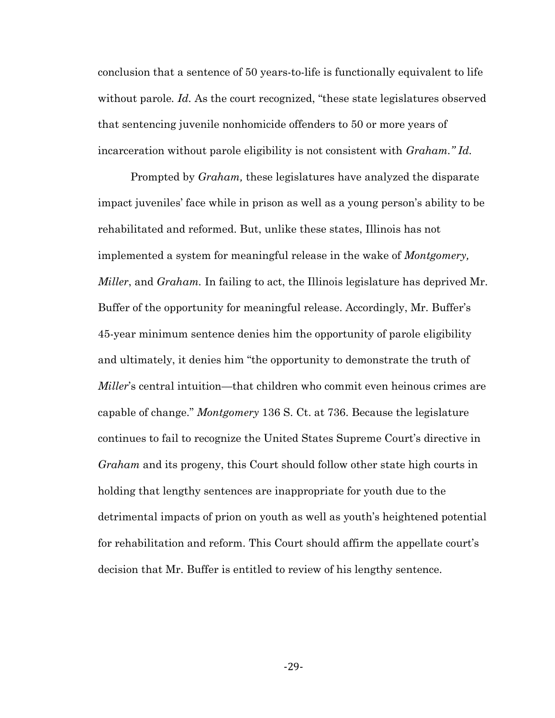conclusion that a sentence of 50 years-to-life is functionally equivalent to life without parole*. Id.* As the court recognized, "these state legislatures observed that sentencing juvenile nonhomicide offenders to 50 or more years of incarceration without parole eligibility is not consistent with *Graham." Id.*

Prompted by *Graham,* these legislatures have analyzed the disparate impact juveniles' face while in prison as well as a young person's ability to be rehabilitated and reformed. But, unlike these states, Illinois has not implemented a system for meaningful release in the wake of *Montgomery, Miller*, and *Graham.* In failing to act, the Illinois legislature has deprived Mr. Buffer of the opportunity for meaningful release. Accordingly, Mr. Buffer's 45-year minimum sentence denies him the opportunity of parole eligibility and ultimately, it denies him "the opportunity to demonstrate the truth of *Miller*'s central intuition—that children who commit even heinous crimes are capable of change." *Montgomery* 136 S. Ct. at 736. Because the legislature continues to fail to recognize the United States Supreme Court's directive in *Graham* and its progeny, this Court should follow other state high courts in holding that lengthy sentences are inappropriate for youth due to the detrimental impacts of prion on youth as well as youth's heightened potential for rehabilitation and reform. This Court should affirm the appellate court's decision that Mr. Buffer is entitled to review of his lengthy sentence.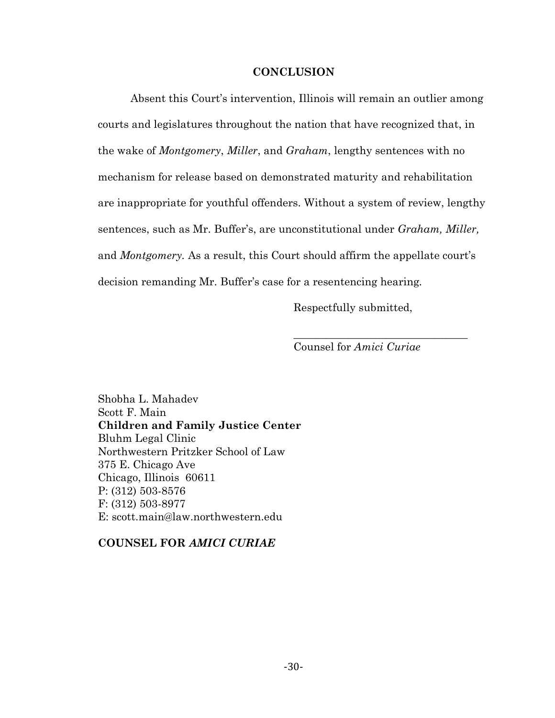#### **CONCLUSION**

Absent this Court's intervention, Illinois will remain an outlier among courts and legislatures throughout the nation that have recognized that, in the wake of *Montgomery*, *Miller*, and *Graham*, lengthy sentences with no mechanism for release based on demonstrated maturity and rehabilitation are inappropriate for youthful offenders. Without a system of review, lengthy sentences, such as Mr. Buffer's, are unconstitutional under *Graham, Miller,*  and *Montgomery.* As a result, this Court should affirm the appellate court's decision remanding Mr. Buffer's case for a resentencing hearing*.*

Respectfully submitted,

Counsel for *Amici Curiae*

\_\_\_\_\_\_\_\_\_\_\_\_\_\_\_\_\_\_\_\_\_\_\_\_\_\_\_\_\_\_\_\_

Shobha L. Mahadev Scott F. Main **Children and Family Justice Center** Bluhm Legal Clinic Northwestern Pritzker School of Law 375 E. Chicago Ave Chicago, Illinois 60611 P: (312) 503-8576 F: (312) 503-8977 E: scott.main@law.northwestern.edu

#### **COUNSEL FOR** *AMICI CURIAE*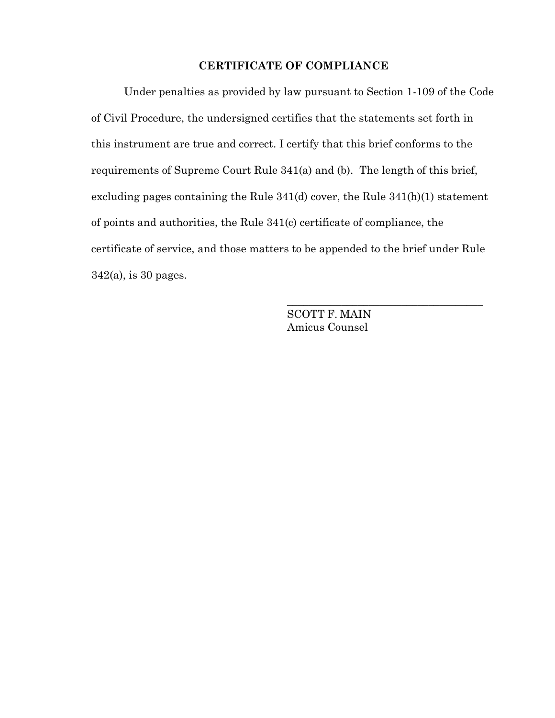### **CERTIFICATE OF COMPLIANCE**

Under penalties as provided by law pursuant to Section 1-109 of the Code of Civil Procedure, the undersigned certifies that the statements set forth in this instrument are true and correct. I certify that this brief conforms to the requirements of Supreme Court Rule 341(a) and (b). The length of this brief, excluding pages containing the Rule 341(d) cover, the Rule 341(h)(1) statement of points and authorities, the Rule 341(c) certificate of compliance, the certificate of service, and those matters to be appended to the brief under Rule 342(a), is 30 pages.

> SCOTT F. MAIN Amicus Counsel

\_\_\_\_\_\_\_\_\_\_\_\_\_\_\_\_\_\_\_\_\_\_\_\_\_\_\_\_\_\_\_\_\_\_\_\_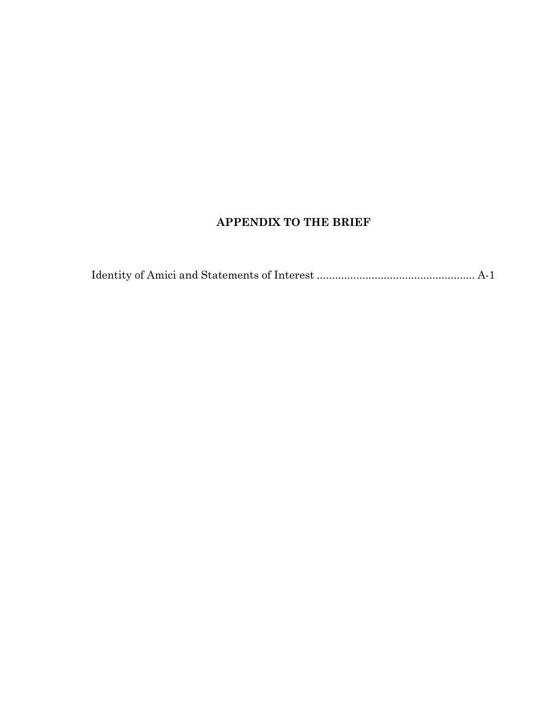# **APPENDIX TO THE BRIEF**

|--|--|--|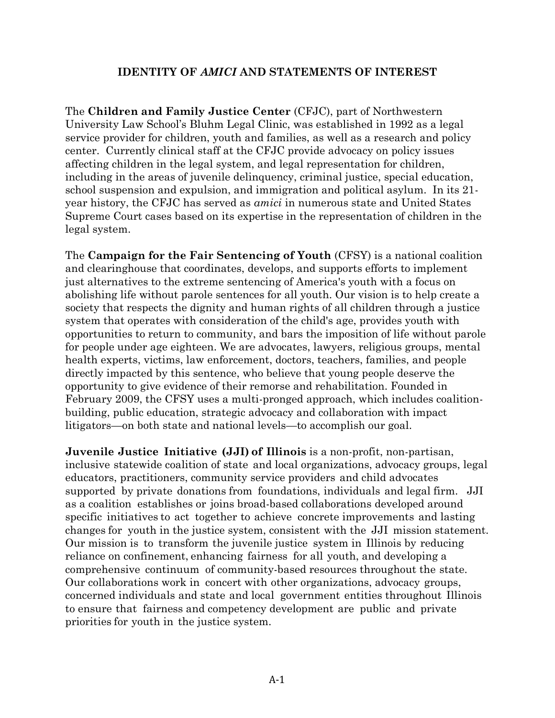## **IDENTITY OF** *AMICI* **AND STATEMENTS OF INTEREST**

The **Children and Family Justice Center** (CFJC), part of Northwestern University Law School's Bluhm Legal Clinic, was established in 1992 as a legal service provider for children, youth and families, as well as a research and policy center. Currently clinical staff at the CFJC provide advocacy on policy issues affecting children in the legal system, and legal representation for children, including in the areas of juvenile delinquency, criminal justice, special education, school suspension and expulsion, and immigration and political asylum. In its 21 year history, the CFJC has served as *amici* in numerous state and United States Supreme Court cases based on its expertise in the representation of children in the legal system.

The **Campaign for the Fair Sentencing of Youth** (CFSY) is a national coalition and clearinghouse that coordinates, develops, and supports efforts to implement just alternatives to the extreme sentencing of America's youth with a focus on abolishing life without parole sentences for all youth. Our vision is to help create a society that respects the dignity and human rights of all children through a justice system that operates with consideration of the child's age, provides youth with opportunities to return to community, and bars the imposition of life without parole for people under age eighteen. We are advocates, lawyers, religious groups, mental health experts, victims, law enforcement, doctors, teachers, families, and people directly impacted by this sentence, who believe that young people deserve the opportunity to give evidence of their remorse and rehabilitation. Founded in February 2009, the CFSY uses a multi-pronged approach, which includes coalitionbuilding, public education, strategic advocacy and collaboration with impact litigators—on both state and national levels—to accomplish our goal.

**Juvenile Justice Initiative (JJI) of Illinois** is a non-profit, non-partisan, inclusive statewide coalition of state and local organizations, advocacy groups, legal educators, practitioners, community service providers and child advocates supported by private donations from foundations, individuals and legal firm. JJI as a coalition establishes or joins broad-based collaborations developed around specific initiatives to act together to achieve concrete improvements and lasting changes for youth in the justice system, consistent with the JJI mission statement. Our mission is to transform the juvenile justice system in Illinois by reducing reliance on confinement, enhancing fairness for all youth, and developing a comprehensive continuum of community-based resources throughout the state. Our collaborations work in concert with other organizations, advocacy groups, concerned individuals and state and local government entities throughout Illinois to ensure that fairness and competency development are public and private priorities for youth in the justice system.